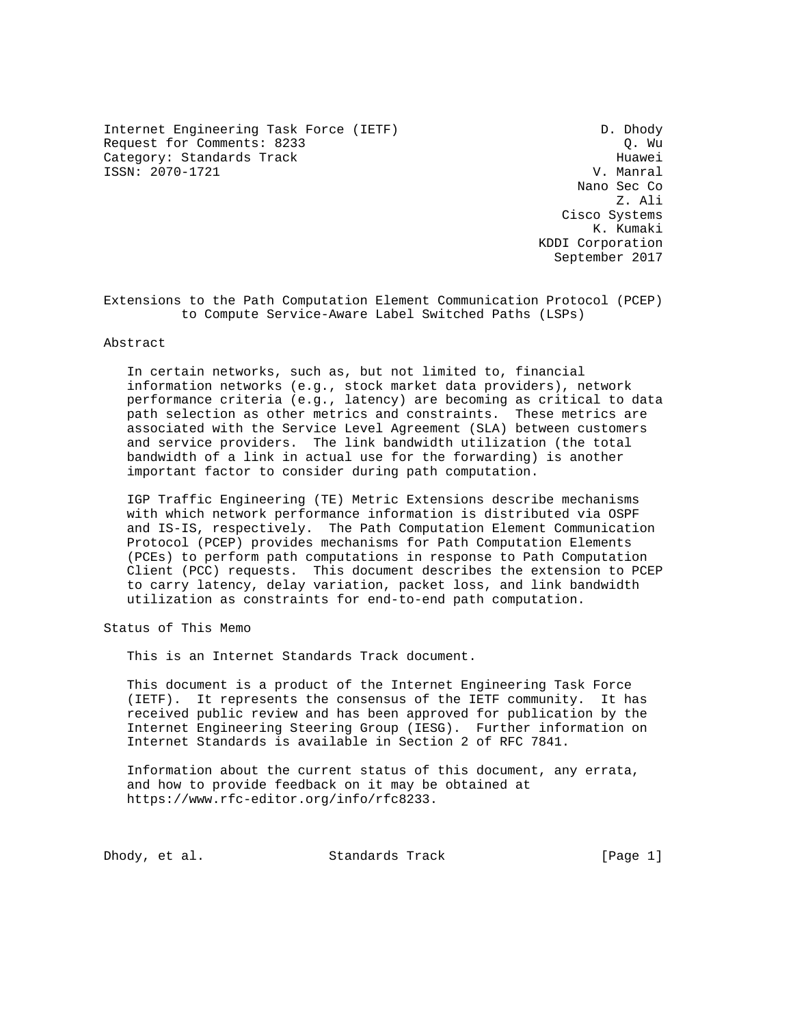Internet Engineering Task Force (IETF) D. Dhody Request for Comments: 8233 Q. Wu Category: Standards Track Huawei<br>
ISSN: 2070-1721 V. Manral  $ISSN: 2070-1721$ 

 Nano Sec Co Z. Ali Cisco Systems K. Kumaki KDDI Corporation September 2017

Extensions to the Path Computation Element Communication Protocol (PCEP) to Compute Service-Aware Label Switched Paths (LSPs)

Abstract

 In certain networks, such as, but not limited to, financial information networks (e.g., stock market data providers), network performance criteria (e.g., latency) are becoming as critical to data path selection as other metrics and constraints. These metrics are associated with the Service Level Agreement (SLA) between customers and service providers. The link bandwidth utilization (the total bandwidth of a link in actual use for the forwarding) is another important factor to consider during path computation.

 IGP Traffic Engineering (TE) Metric Extensions describe mechanisms with which network performance information is distributed via OSPF and IS-IS, respectively. The Path Computation Element Communication Protocol (PCEP) provides mechanisms for Path Computation Elements (PCEs) to perform path computations in response to Path Computation Client (PCC) requests. This document describes the extension to PCEP to carry latency, delay variation, packet loss, and link bandwidth utilization as constraints for end-to-end path computation.

Status of This Memo

This is an Internet Standards Track document.

 This document is a product of the Internet Engineering Task Force (IETF). It represents the consensus of the IETF community. It has received public review and has been approved for publication by the Internet Engineering Steering Group (IESG). Further information on Internet Standards is available in Section 2 of RFC 7841.

 Information about the current status of this document, any errata, and how to provide feedback on it may be obtained at https://www.rfc-editor.org/info/rfc8233.

Dhody, et al. Standards Track [Page 1]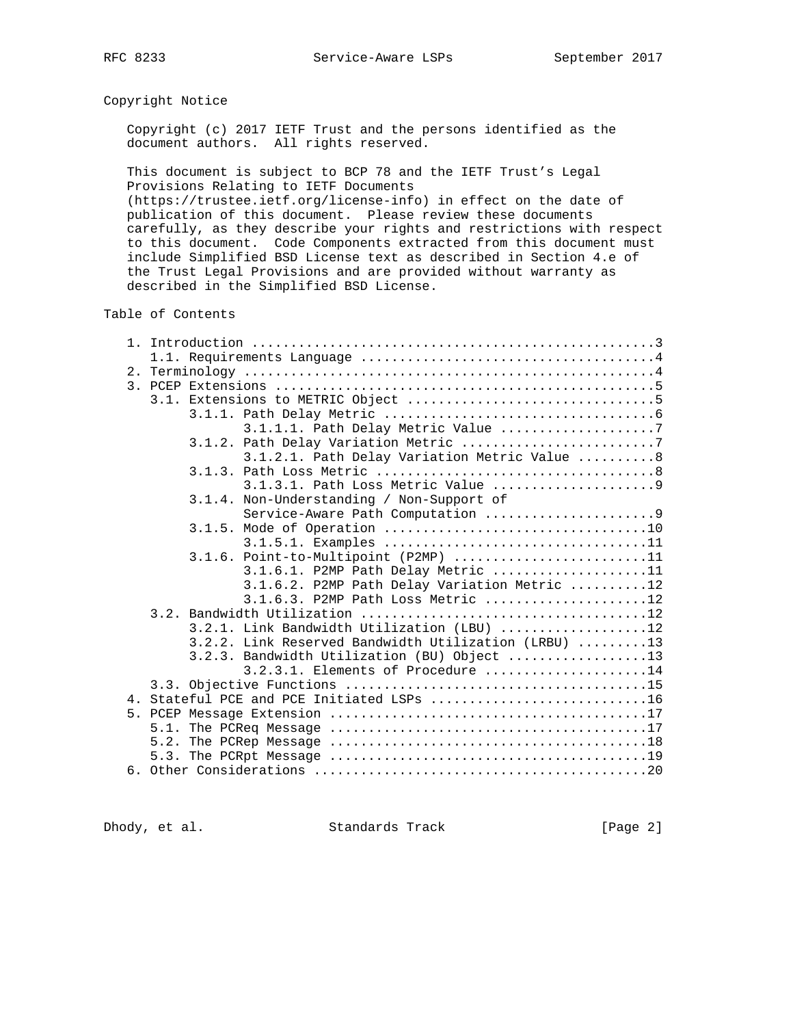# Copyright Notice

 Copyright (c) 2017 IETF Trust and the persons identified as the document authors. All rights reserved.

 This document is subject to BCP 78 and the IETF Trust's Legal Provisions Relating to IETF Documents

 (https://trustee.ietf.org/license-info) in effect on the date of publication of this document. Please review these documents carefully, as they describe your rights and restrictions with respect to this document. Code Components extracted from this document must include Simplified BSD License text as described in Section 4.e of the Trust Legal Provisions and are provided without warranty as described in the Simplified BSD License.

Table of Contents

|    | 3.1.1.1. Path Delay Metric Value 7                   |  |  |
|----|------------------------------------------------------|--|--|
|    | 3.1.2. Path Delay Variation Metric 7                 |  |  |
|    | 3.1.2.1. Path Delay Variation Metric Value 8         |  |  |
|    |                                                      |  |  |
|    |                                                      |  |  |
|    | 3.1.4. Non-Understanding / Non-Support of            |  |  |
|    | Service-Aware Path Computation 9                     |  |  |
|    |                                                      |  |  |
|    |                                                      |  |  |
|    | 3.1.6. Point-to-Multipoint (P2MP) 11                 |  |  |
|    | 3.1.6.1. P2MP Path Delay Metric 11                   |  |  |
|    | 3.1.6.2. P2MP Path Delay Variation Metric 12         |  |  |
|    | $3.1.6.3$ . P2MP Path Loss Metric 12                 |  |  |
|    |                                                      |  |  |
|    | 3.2.1. Link Bandwidth Utilization (LBU) 12           |  |  |
|    | 3.2.2. Link Reserved Bandwidth Utilization (LRBU) 13 |  |  |
|    | 3.2.3. Bandwidth Utilization (BU) Object 13          |  |  |
|    | $3.2.3.1$ . Elements of Procedure 14                 |  |  |
|    |                                                      |  |  |
|    | 4. Stateful PCE and PCE Initiated LSPs 16            |  |  |
| 5. |                                                      |  |  |
|    |                                                      |  |  |
|    |                                                      |  |  |
|    |                                                      |  |  |
|    |                                                      |  |  |

Dhody, et al. Standards Track [Page 2]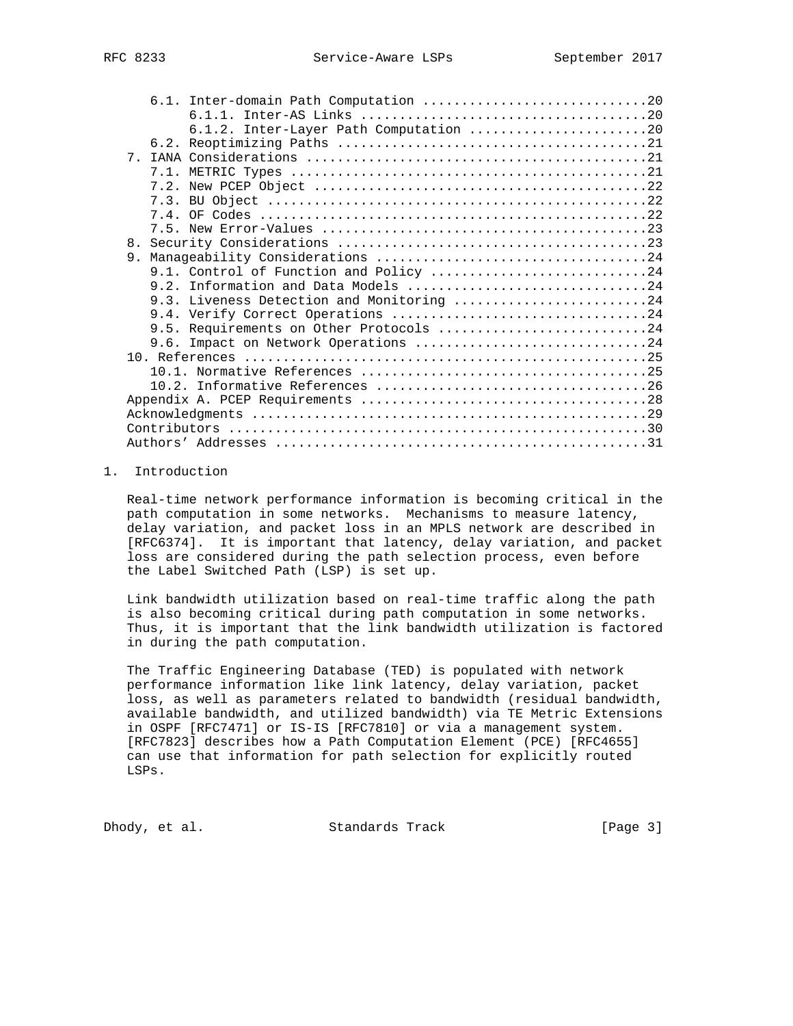|                | 6.1.2. Inter-Layer Path Computation 20    |
|----------------|-------------------------------------------|
|                |                                           |
| 7 <sub>1</sub> |                                           |
|                |                                           |
|                |                                           |
|                |                                           |
|                |                                           |
|                |                                           |
| 8 <sub>1</sub> |                                           |
| 9.             |                                           |
|                | 9.1. Control of Function and Policy 24    |
|                |                                           |
|                | 9.3. Liveness Detection and Monitoring 24 |
|                |                                           |
|                | 9.5. Requirements on Other Protocols 24   |
|                | 9.6. Impact on Network Operations 24      |
|                |                                           |
|                |                                           |
|                |                                           |
|                |                                           |
|                |                                           |
|                |                                           |
|                |                                           |

# 1. Introduction

 Real-time network performance information is becoming critical in the path computation in some networks. Mechanisms to measure latency, delay variation, and packet loss in an MPLS network are described in [RFC6374]. It is important that latency, delay variation, and packet loss are considered during the path selection process, even before the Label Switched Path (LSP) is set up.

 Link bandwidth utilization based on real-time traffic along the path is also becoming critical during path computation in some networks. Thus, it is important that the link bandwidth utilization is factored in during the path computation.

 The Traffic Engineering Database (TED) is populated with network performance information like link latency, delay variation, packet loss, as well as parameters related to bandwidth (residual bandwidth, available bandwidth, and utilized bandwidth) via TE Metric Extensions in OSPF [RFC7471] or IS-IS [RFC7810] or via a management system. [RFC7823] describes how a Path Computation Element (PCE) [RFC4655] can use that information for path selection for explicitly routed LSPs.

Dhody, et al. Standards Track [Page 3]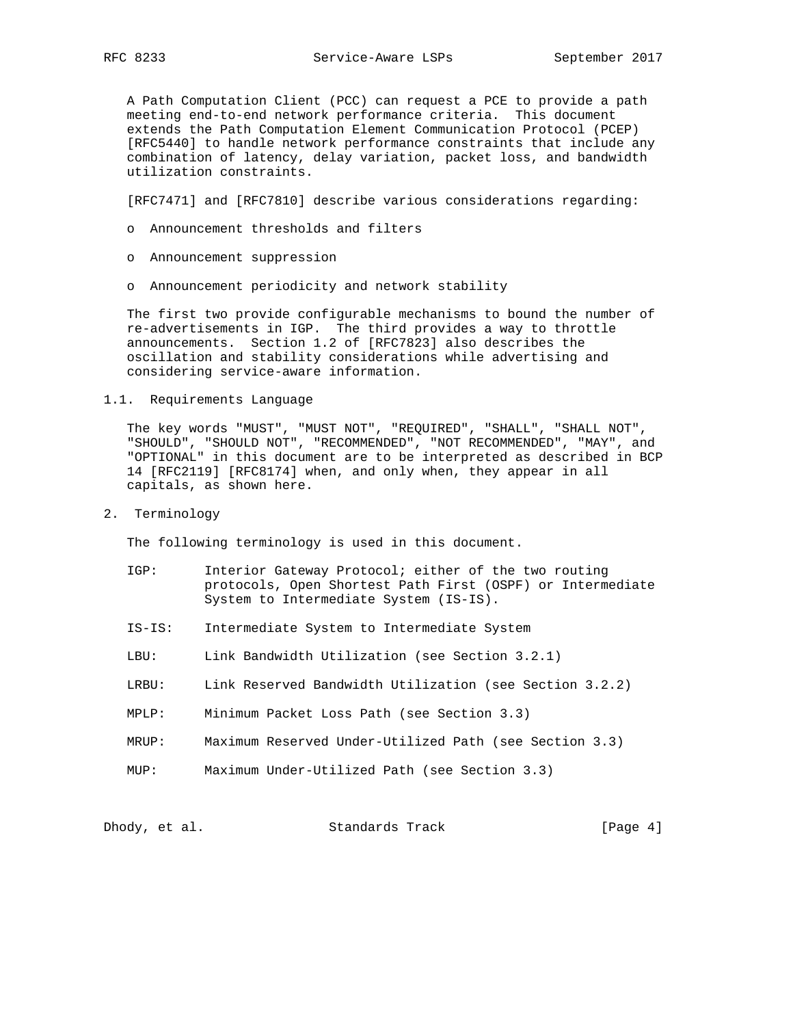A Path Computation Client (PCC) can request a PCE to provide a path meeting end-to-end network performance criteria. This document extends the Path Computation Element Communication Protocol (PCEP) [RFC5440] to handle network performance constraints that include any combination of latency, delay variation, packet loss, and bandwidth utilization constraints.

[RFC7471] and [RFC7810] describe various considerations regarding:

- o Announcement thresholds and filters
- o Announcement suppression
- o Announcement periodicity and network stability

 The first two provide configurable mechanisms to bound the number of re-advertisements in IGP. The third provides a way to throttle announcements. Section 1.2 of [RFC7823] also describes the oscillation and stability considerations while advertising and considering service-aware information.

1.1. Requirements Language

 The key words "MUST", "MUST NOT", "REQUIRED", "SHALL", "SHALL NOT", "SHOULD", "SHOULD NOT", "RECOMMENDED", "NOT RECOMMENDED", "MAY", and "OPTIONAL" in this document are to be interpreted as described in BCP 14 [RFC2119] [RFC8174] when, and only when, they appear in all capitals, as shown here.

2. Terminology

The following terminology is used in this document.

- IGP: Interior Gateway Protocol; either of the two routing protocols, Open Shortest Path First (OSPF) or Intermediate System to Intermediate System (IS-IS).
- IS-IS: Intermediate System to Intermediate System
- LBU: Link Bandwidth Utilization (see Section 3.2.1)
- LRBU: Link Reserved Bandwidth Utilization (see Section 3.2.2)
- MPLP: Minimum Packet Loss Path (see Section 3.3)
- MRUP: Maximum Reserved Under-Utilized Path (see Section 3.3)
- MUP: Maximum Under-Utilized Path (see Section 3.3)

| Dhody, et al. |  | Standards Track | [Page 4] |
|---------------|--|-----------------|----------|
|---------------|--|-----------------|----------|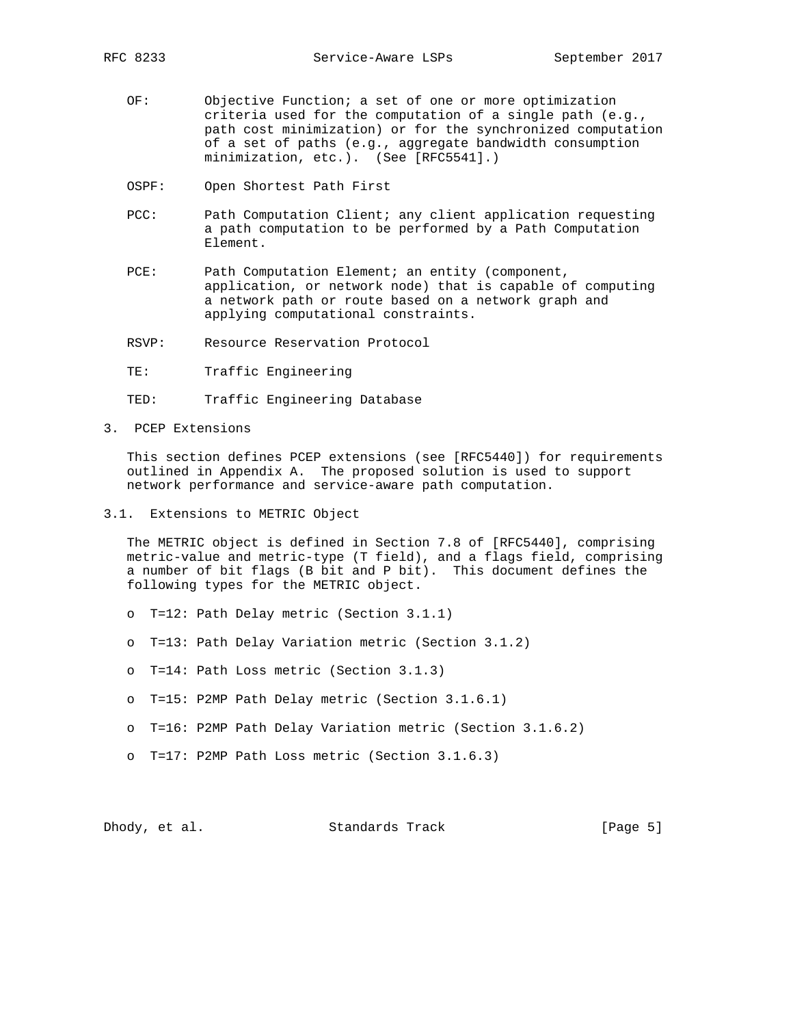- OF: Objective Function; a set of one or more optimization criteria used for the computation of a single path (e.g., path cost minimization) or for the synchronized computation of a set of paths (e.g., aggregate bandwidth consumption minimization, etc.). (See [RFC5541].)
- OSPF: Open Shortest Path First
- PCC: Path Computation Client; any client application requesting a path computation to be performed by a Path Computation Element.
- PCE: Path Computation Element; an entity (component, application, or network node) that is capable of computing a network path or route based on a network graph and applying computational constraints.
- RSVP: Resource Reservation Protocol
- TE: Traffic Engineering
- TED: Traffic Engineering Database
- 3. PCEP Extensions

 This section defines PCEP extensions (see [RFC5440]) for requirements outlined in Appendix A. The proposed solution is used to support network performance and service-aware path computation.

3.1. Extensions to METRIC Object

 The METRIC object is defined in Section 7.8 of [RFC5440], comprising metric-value and metric-type (T field), and a flags field, comprising a number of bit flags (B bit and P bit). This document defines the following types for the METRIC object.

- o T=12: Path Delay metric (Section 3.1.1)
- o T=13: Path Delay Variation metric (Section 3.1.2)
- o T=14: Path Loss metric (Section 3.1.3)
- o T=15: P2MP Path Delay metric (Section 3.1.6.1)
- o T=16: P2MP Path Delay Variation metric (Section 3.1.6.2)
- o T=17: P2MP Path Loss metric (Section 3.1.6.3)

Dhody, et al. Standards Track [Page 5]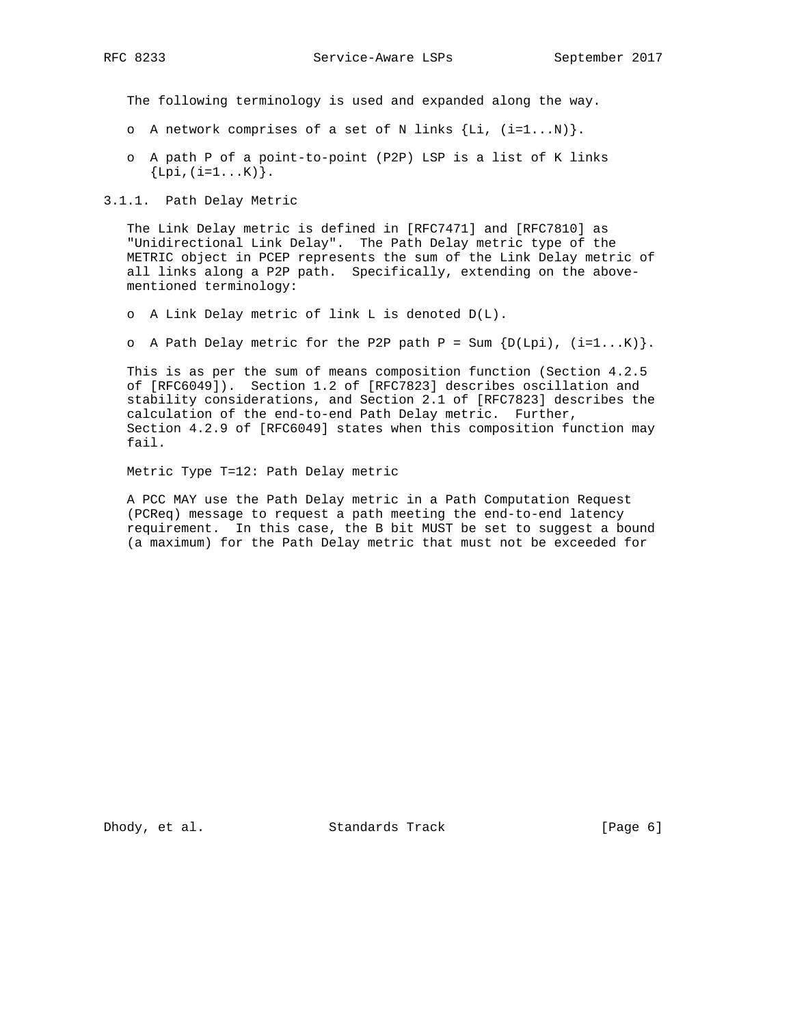RFC 8233 Service-Aware LSPs September 2017

The following terminology is used and expanded along the way.

- o A network comprises of a set of N links  $\{Li, (i=1...N)\}.$
- o A path P of a point-to-point (P2P) LSP is a list of K links  ${Lpi, (i=1...K)}$ .

3.1.1. Path Delay Metric

 The Link Delay metric is defined in [RFC7471] and [RFC7810] as "Unidirectional Link Delay". The Path Delay metric type of the METRIC object in PCEP represents the sum of the Link Delay metric of all links along a P2P path. Specifically, extending on the above mentioned terminology:

o A Link Delay metric of link L is denoted D(L).

o A Path Delay metric for the P2P path P = Sum  $\{D(Lpi), (i=1...K)\}.$ 

 This is as per the sum of means composition function (Section 4.2.5 of [RFC6049]). Section 1.2 of [RFC7823] describes oscillation and stability considerations, and Section 2.1 of [RFC7823] describes the calculation of the end-to-end Path Delay metric. Further, Section 4.2.9 of [RFC6049] states when this composition function may fail.

Metric Type T=12: Path Delay metric

 A PCC MAY use the Path Delay metric in a Path Computation Request (PCReq) message to request a path meeting the end-to-end latency requirement. In this case, the B bit MUST be set to suggest a bound (a maximum) for the Path Delay metric that must not be exceeded for

Dhody, et al. Standards Track [Page 6]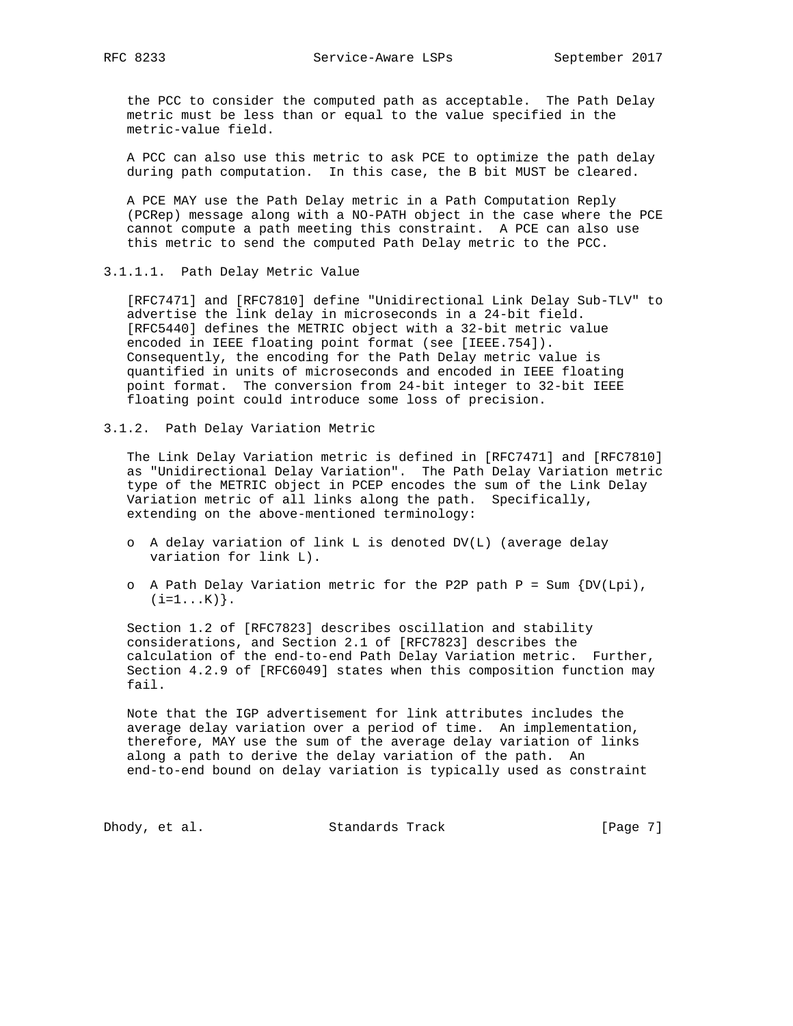the PCC to consider the computed path as acceptable. The Path Delay metric must be less than or equal to the value specified in the metric-value field.

 A PCC can also use this metric to ask PCE to optimize the path delay during path computation. In this case, the B bit MUST be cleared.

 A PCE MAY use the Path Delay metric in a Path Computation Reply (PCRep) message along with a NO-PATH object in the case where the PCE cannot compute a path meeting this constraint. A PCE can also use this metric to send the computed Path Delay metric to the PCC.

#### 3.1.1.1. Path Delay Metric Value

 [RFC7471] and [RFC7810] define "Unidirectional Link Delay Sub-TLV" to advertise the link delay in microseconds in a 24-bit field. [RFC5440] defines the METRIC object with a 32-bit metric value encoded in IEEE floating point format (see [IEEE.754]). Consequently, the encoding for the Path Delay metric value is quantified in units of microseconds and encoded in IEEE floating point format. The conversion from 24-bit integer to 32-bit IEEE floating point could introduce some loss of precision.

3.1.2. Path Delay Variation Metric

 The Link Delay Variation metric is defined in [RFC7471] and [RFC7810] as "Unidirectional Delay Variation". The Path Delay Variation metric type of the METRIC object in PCEP encodes the sum of the Link Delay Variation metric of all links along the path. Specifically, extending on the above-mentioned terminology:

- o A delay variation of link L is denoted DV(L) (average delay variation for link L).
- o A Path Delay Variation metric for the P2P path  $P = Sum \{DV(Lpi),$  $(i=1...K)$  .

 Section 1.2 of [RFC7823] describes oscillation and stability considerations, and Section 2.1 of [RFC7823] describes the calculation of the end-to-end Path Delay Variation metric. Further, Section 4.2.9 of [RFC6049] states when this composition function may fail.

 Note that the IGP advertisement for link attributes includes the average delay variation over a period of time. An implementation, therefore, MAY use the sum of the average delay variation of links along a path to derive the delay variation of the path. An end-to-end bound on delay variation is typically used as constraint

Dhody, et al. Standards Track [Page 7]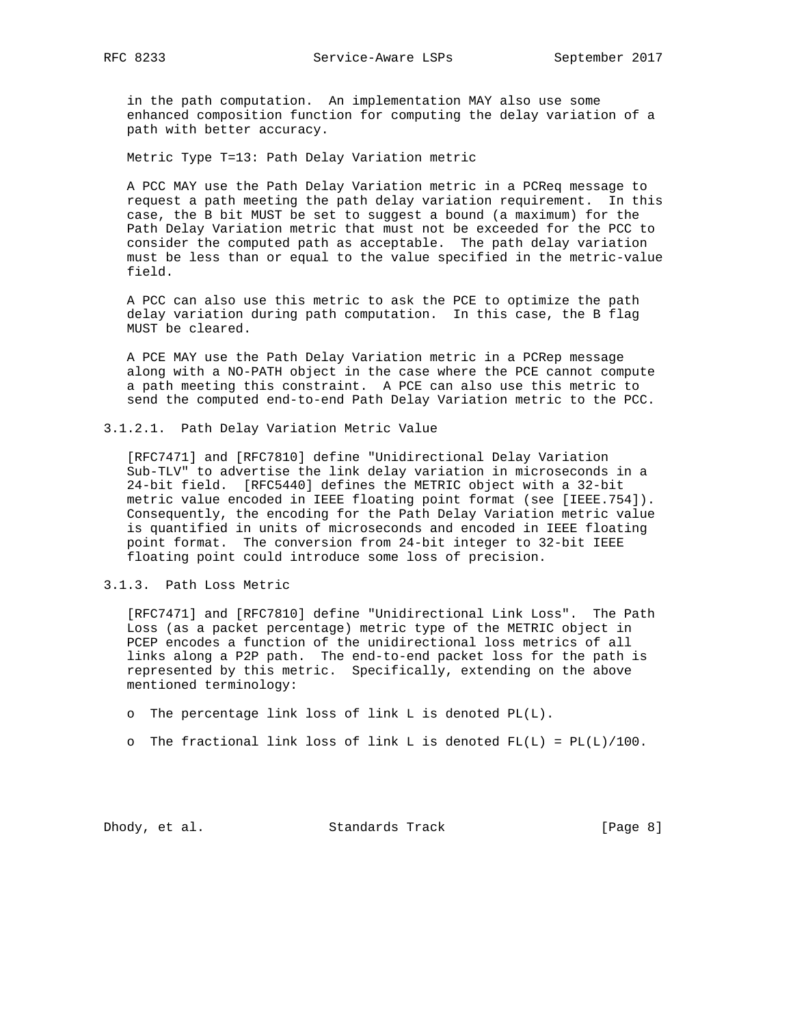in the path computation. An implementation MAY also use some enhanced composition function for computing the delay variation of a path with better accuracy.

Metric Type T=13: Path Delay Variation metric

 A PCC MAY use the Path Delay Variation metric in a PCReq message to request a path meeting the path delay variation requirement. In this case, the B bit MUST be set to suggest a bound (a maximum) for the Path Delay Variation metric that must not be exceeded for the PCC to consider the computed path as acceptable. The path delay variation must be less than or equal to the value specified in the metric-value field.

 A PCC can also use this metric to ask the PCE to optimize the path delay variation during path computation. In this case, the B flag MUST be cleared.

 A PCE MAY use the Path Delay Variation metric in a PCRep message along with a NO-PATH object in the case where the PCE cannot compute a path meeting this constraint. A PCE can also use this metric to send the computed end-to-end Path Delay Variation metric to the PCC.

3.1.2.1. Path Delay Variation Metric Value

 [RFC7471] and [RFC7810] define "Unidirectional Delay Variation Sub-TLV" to advertise the link delay variation in microseconds in a 24-bit field. [RFC5440] defines the METRIC object with a 32-bit metric value encoded in IEEE floating point format (see [IEEE.754]). Consequently, the encoding for the Path Delay Variation metric value is quantified in units of microseconds and encoded in IEEE floating point format. The conversion from 24-bit integer to 32-bit IEEE floating point could introduce some loss of precision.

3.1.3. Path Loss Metric

 [RFC7471] and [RFC7810] define "Unidirectional Link Loss". The Path Loss (as a packet percentage) metric type of the METRIC object in PCEP encodes a function of the unidirectional loss metrics of all links along a P2P path. The end-to-end packet loss for the path is represented by this metric. Specifically, extending on the above mentioned terminology:

- o The percentage link loss of link L is denoted PL(L).
- o The fractional link loss of link L is denoted  $FL(L) = PL(L)/100$ .

Dhody, et al. Standards Track [Page 8]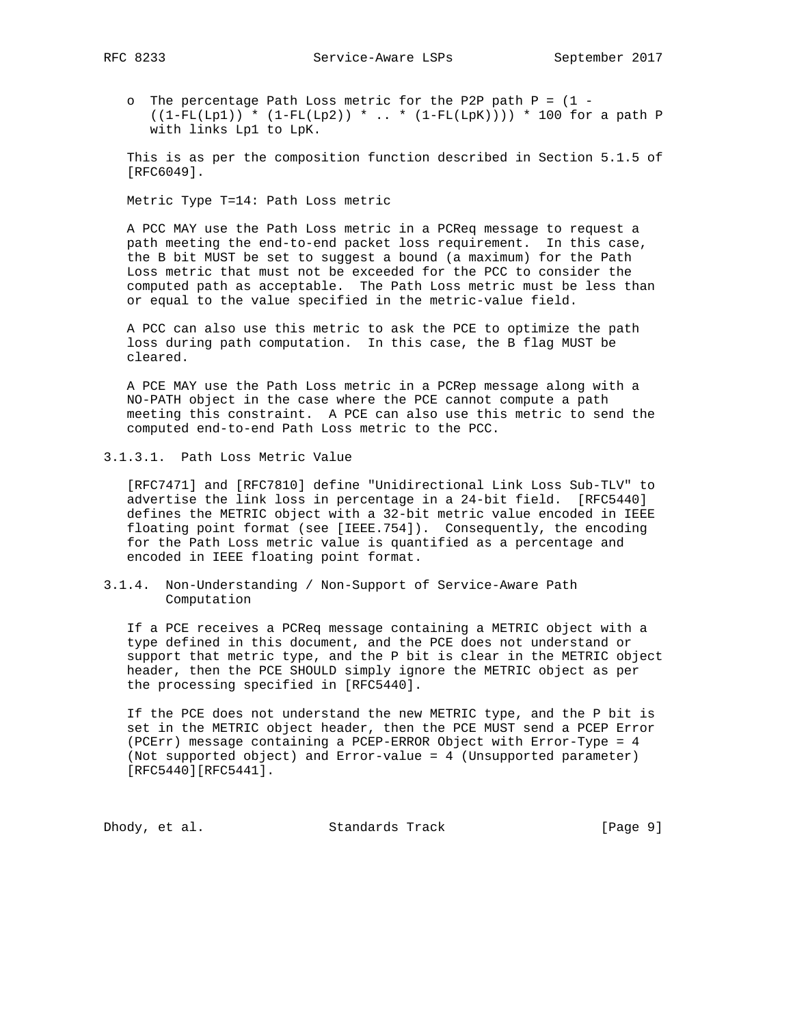- - o The percentage Path Loss metric for the P2P path P = (1  $((1-FL(Lp1)) * (1-FL(Lp2)) * ... * (1-FL(LpK)))) * 100$  for a path P with links Lp1 to LpK.

 This is as per the composition function described in Section 5.1.5 of [RFC6049].

Metric Type T=14: Path Loss metric

 A PCC MAY use the Path Loss metric in a PCReq message to request a path meeting the end-to-end packet loss requirement. In this case, the B bit MUST be set to suggest a bound (a maximum) for the Path Loss metric that must not be exceeded for the PCC to consider the computed path as acceptable. The Path Loss metric must be less than or equal to the value specified in the metric-value field.

 A PCC can also use this metric to ask the PCE to optimize the path loss during path computation. In this case, the B flag MUST be cleared.

 A PCE MAY use the Path Loss metric in a PCRep message along with a NO-PATH object in the case where the PCE cannot compute a path meeting this constraint. A PCE can also use this metric to send the computed end-to-end Path Loss metric to the PCC.

3.1.3.1. Path Loss Metric Value

 [RFC7471] and [RFC7810] define "Unidirectional Link Loss Sub-TLV" to advertise the link loss in percentage in a 24-bit field. [RFC5440] defines the METRIC object with a 32-bit metric value encoded in IEEE floating point format (see [IEEE.754]). Consequently, the encoding for the Path Loss metric value is quantified as a percentage and encoded in IEEE floating point format.

3.1.4. Non-Understanding / Non-Support of Service-Aware Path Computation

 If a PCE receives a PCReq message containing a METRIC object with a type defined in this document, and the PCE does not understand or support that metric type, and the P bit is clear in the METRIC object header, then the PCE SHOULD simply ignore the METRIC object as per the processing specified in [RFC5440].

 If the PCE does not understand the new METRIC type, and the P bit is set in the METRIC object header, then the PCE MUST send a PCEP Error (PCErr) message containing a PCEP-ERROR Object with Error-Type = 4 (Not supported object) and Error-value = 4 (Unsupported parameter) [RFC5440][RFC5441].

Dhody, et al. Standards Track [Page 9]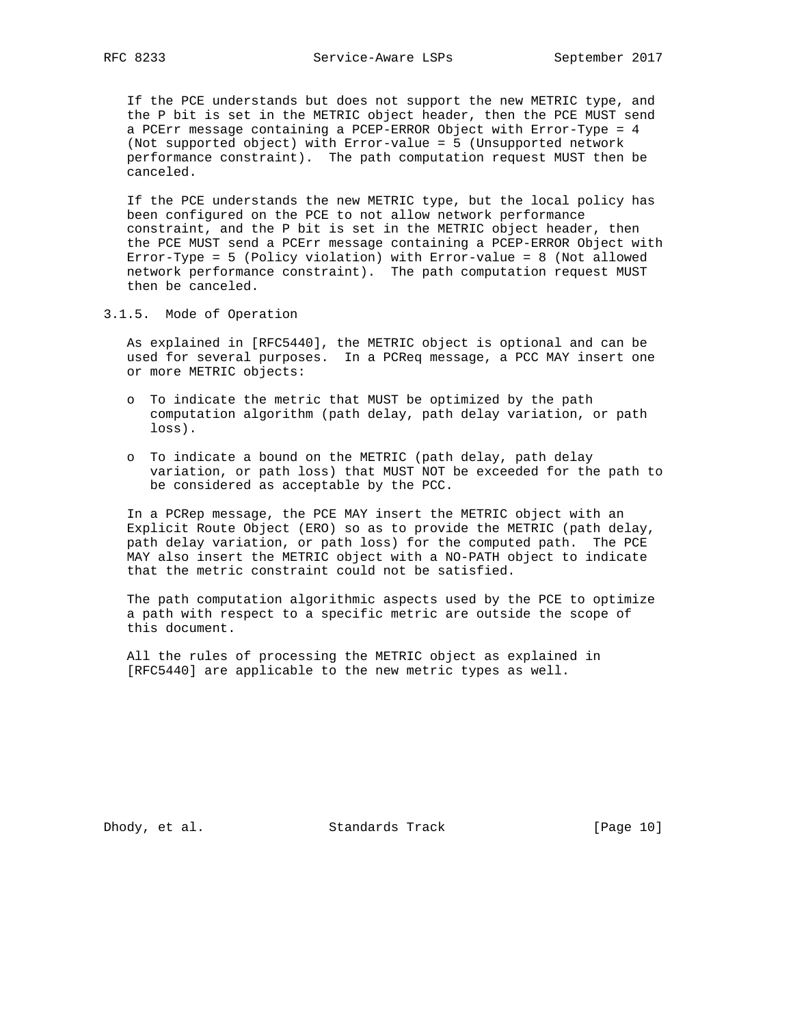If the PCE understands but does not support the new METRIC type, and the P bit is set in the METRIC object header, then the PCE MUST send a PCErr message containing a PCEP-ERROR Object with Error-Type = 4 (Not supported object) with Error-value = 5 (Unsupported network performance constraint). The path computation request MUST then be canceled.

 If the PCE understands the new METRIC type, but the local policy has been configured on the PCE to not allow network performance constraint, and the P bit is set in the METRIC object header, then the PCE MUST send a PCErr message containing a PCEP-ERROR Object with Error-Type = 5 (Policy violation) with Error-value = 8 (Not allowed network performance constraint). The path computation request MUST then be canceled.

3.1.5. Mode of Operation

 As explained in [RFC5440], the METRIC object is optional and can be used for several purposes. In a PCReq message, a PCC MAY insert one or more METRIC objects:

- o To indicate the metric that MUST be optimized by the path computation algorithm (path delay, path delay variation, or path loss).
- o To indicate a bound on the METRIC (path delay, path delay variation, or path loss) that MUST NOT be exceeded for the path to be considered as acceptable by the PCC.

 In a PCRep message, the PCE MAY insert the METRIC object with an Explicit Route Object (ERO) so as to provide the METRIC (path delay, path delay variation, or path loss) for the computed path. The PCE MAY also insert the METRIC object with a NO-PATH object to indicate that the metric constraint could not be satisfied.

 The path computation algorithmic aspects used by the PCE to optimize a path with respect to a specific metric are outside the scope of this document.

 All the rules of processing the METRIC object as explained in [RFC5440] are applicable to the new metric types as well.

Dhody, et al. Standards Track [Page 10]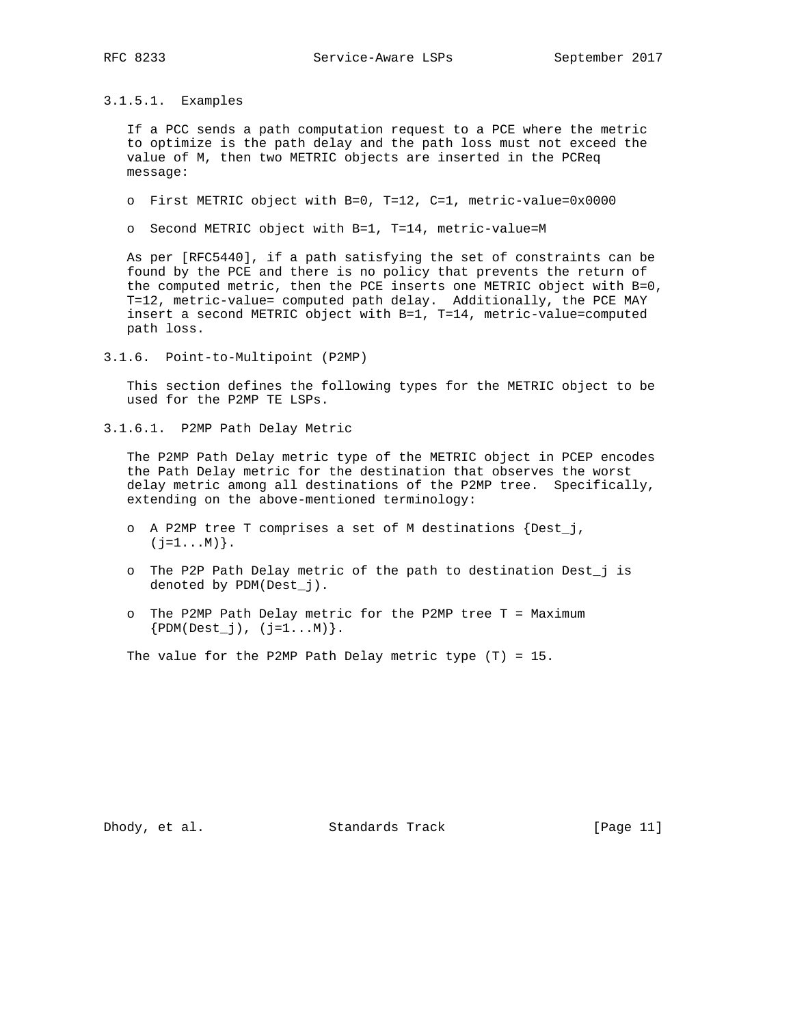3.1.5.1. Examples

 If a PCC sends a path computation request to a PCE where the metric to optimize is the path delay and the path loss must not exceed the value of M, then two METRIC objects are inserted in the PCReq message:

o First METRIC object with B=0, T=12, C=1, metric-value=0x0000

o Second METRIC object with B=1, T=14, metric-value=M

 As per [RFC5440], if a path satisfying the set of constraints can be found by the PCE and there is no policy that prevents the return of the computed metric, then the PCE inserts one METRIC object with B=0, T=12, metric-value= computed path delay. Additionally, the PCE MAY insert a second METRIC object with B=1, T=14, metric-value=computed path loss.

3.1.6. Point-to-Multipoint (P2MP)

 This section defines the following types for the METRIC object to be used for the P2MP TE LSPs.

3.1.6.1. P2MP Path Delay Metric

 The P2MP Path Delay metric type of the METRIC object in PCEP encodes the Path Delay metric for the destination that observes the worst delay metric among all destinations of the P2MP tree. Specifically, extending on the above-mentioned terminology:

- o A P2MP tree T comprises a set of M destinations {Dest\_j,  $(j=1...M)$  .
- o The P2P Path Delay metric of the path to destination Dest\_j is denoted by PDM(Dest\_j).
- o The P2MP Path Delay metric for the P2MP tree T = Maximum  ${PDM(Dest_j), (j=1...M)}.$

The value for the P2MP Path Delay metric type (T) = 15.

Dhody, et al. Standards Track [Page 11]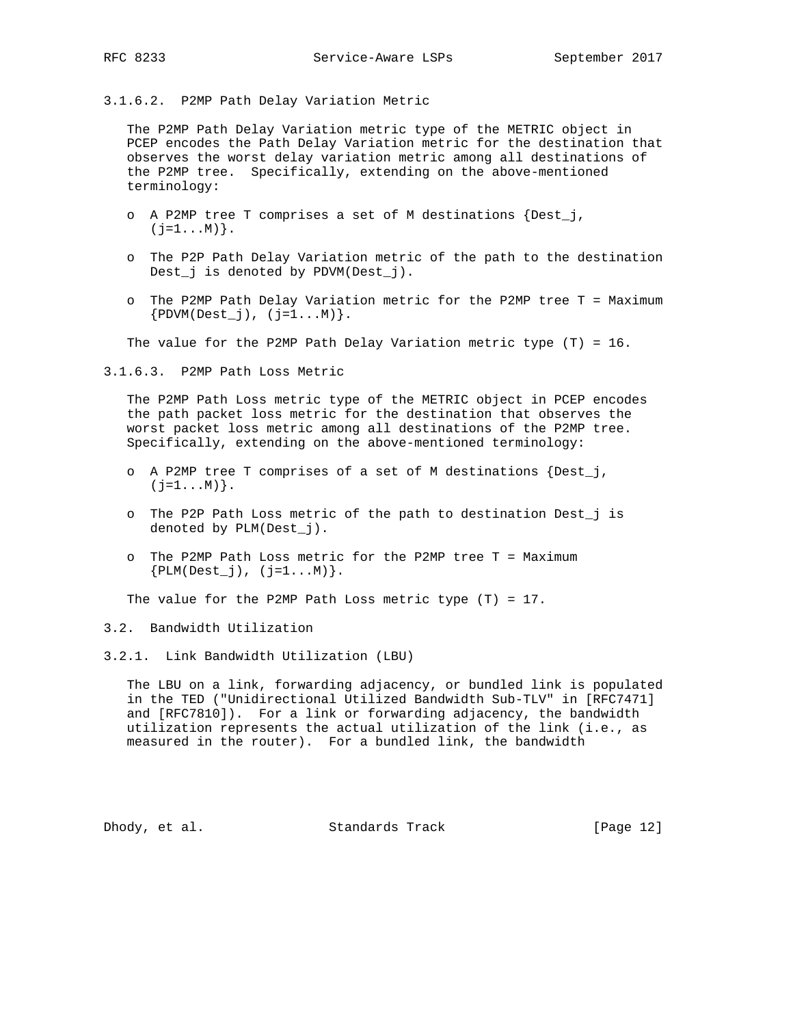3.1.6.2. P2MP Path Delay Variation Metric

 The P2MP Path Delay Variation metric type of the METRIC object in PCEP encodes the Path Delay Variation metric for the destination that observes the worst delay variation metric among all destinations of the P2MP tree. Specifically, extending on the above-mentioned terminology:

- o A P2MP tree T comprises a set of M destinations {Dest\_j,  $(j=1...M)$  .
- o The P2P Path Delay Variation metric of the path to the destination Dest\_j is denoted by PDVM(Dest\_j).
- o The P2MP Path Delay Variation metric for the P2MP tree T = Maximum  ${PDWM(Dest_j), (j=1...M)}.$

The value for the P2MP Path Delay Variation metric type  $(T) = 16$ .

3.1.6.3. P2MP Path Loss Metric

 The P2MP Path Loss metric type of the METRIC object in PCEP encodes the path packet loss metric for the destination that observes the worst packet loss metric among all destinations of the P2MP tree. Specifically, extending on the above-mentioned terminology:

- o A P2MP tree T comprises of a set of M destinations {Dest\_j,  $(j=1...M)$ .
- o The P2P Path Loss metric of the path to destination Dest\_j is denoted by PLM(Dest\_j).
- o The P2MP Path Loss metric for the P2MP tree T = Maximum  ${PLM(Dest_j), (j=1...M)}.$

The value for the P2MP Path Loss metric type  $(T) = 17$ .

3.2. Bandwidth Utilization

3.2.1. Link Bandwidth Utilization (LBU)

 The LBU on a link, forwarding adjacency, or bundled link is populated in the TED ("Unidirectional Utilized Bandwidth Sub-TLV" in [RFC7471] and [RFC7810]). For a link or forwarding adjacency, the bandwidth utilization represents the actual utilization of the link (i.e., as measured in the router). For a bundled link, the bandwidth

Dhody, et al. Standards Track [Page 12]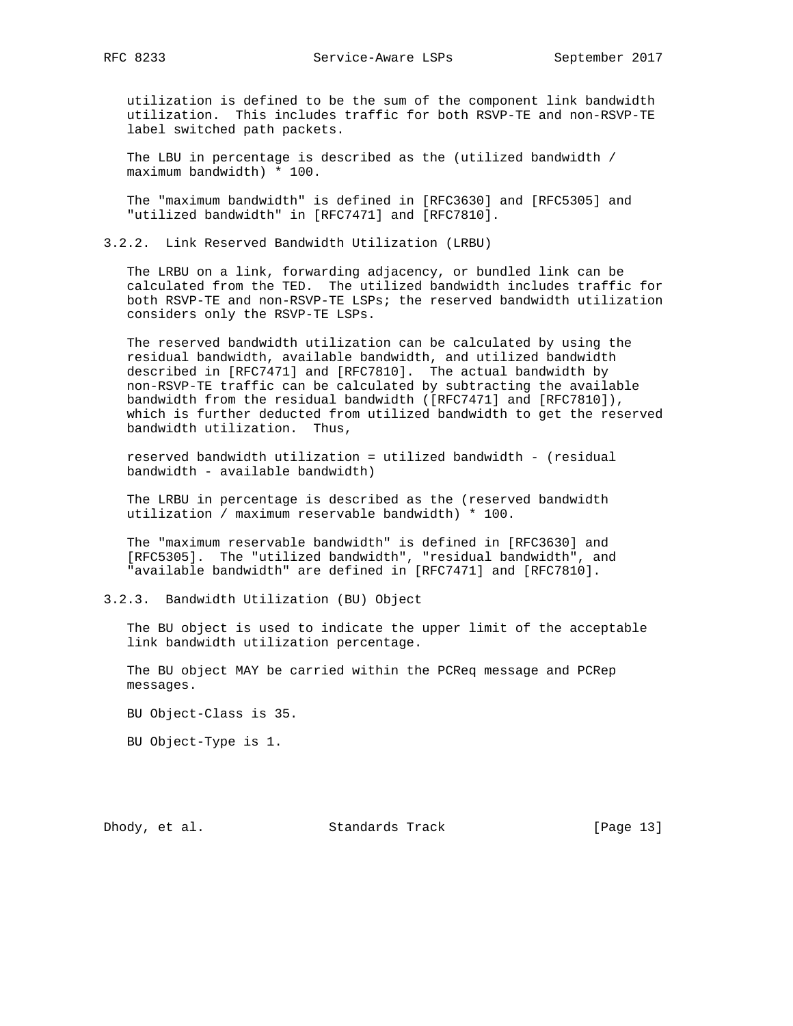utilization is defined to be the sum of the component link bandwidth utilization. This includes traffic for both RSVP-TE and non-RSVP-TE label switched path packets.

 The LBU in percentage is described as the (utilized bandwidth / maximum bandwidth) \* 100.

 The "maximum bandwidth" is defined in [RFC3630] and [RFC5305] and "utilized bandwidth" in [RFC7471] and [RFC7810].

3.2.2. Link Reserved Bandwidth Utilization (LRBU)

 The LRBU on a link, forwarding adjacency, or bundled link can be calculated from the TED. The utilized bandwidth includes traffic for both RSVP-TE and non-RSVP-TE LSPs; the reserved bandwidth utilization considers only the RSVP-TE LSPs.

 The reserved bandwidth utilization can be calculated by using the residual bandwidth, available bandwidth, and utilized bandwidth described in [RFC7471] and [RFC7810]. The actual bandwidth by non-RSVP-TE traffic can be calculated by subtracting the available bandwidth from the residual bandwidth ([RFC7471] and [RFC7810]), which is further deducted from utilized bandwidth to get the reserved bandwidth utilization. Thus,

 reserved bandwidth utilization = utilized bandwidth - (residual bandwidth - available bandwidth)

 The LRBU in percentage is described as the (reserved bandwidth utilization / maximum reservable bandwidth) \* 100.

 The "maximum reservable bandwidth" is defined in [RFC3630] and [RFC5305]. The "utilized bandwidth", "residual bandwidth", and "available bandwidth" are defined in [RFC7471] and [RFC7810].

3.2.3. Bandwidth Utilization (BU) Object

 The BU object is used to indicate the upper limit of the acceptable link bandwidth utilization percentage.

 The BU object MAY be carried within the PCReq message and PCRep messages.

BU Object-Class is 35.

BU Object-Type is 1.

Dhody, et al. Standards Track [Page 13]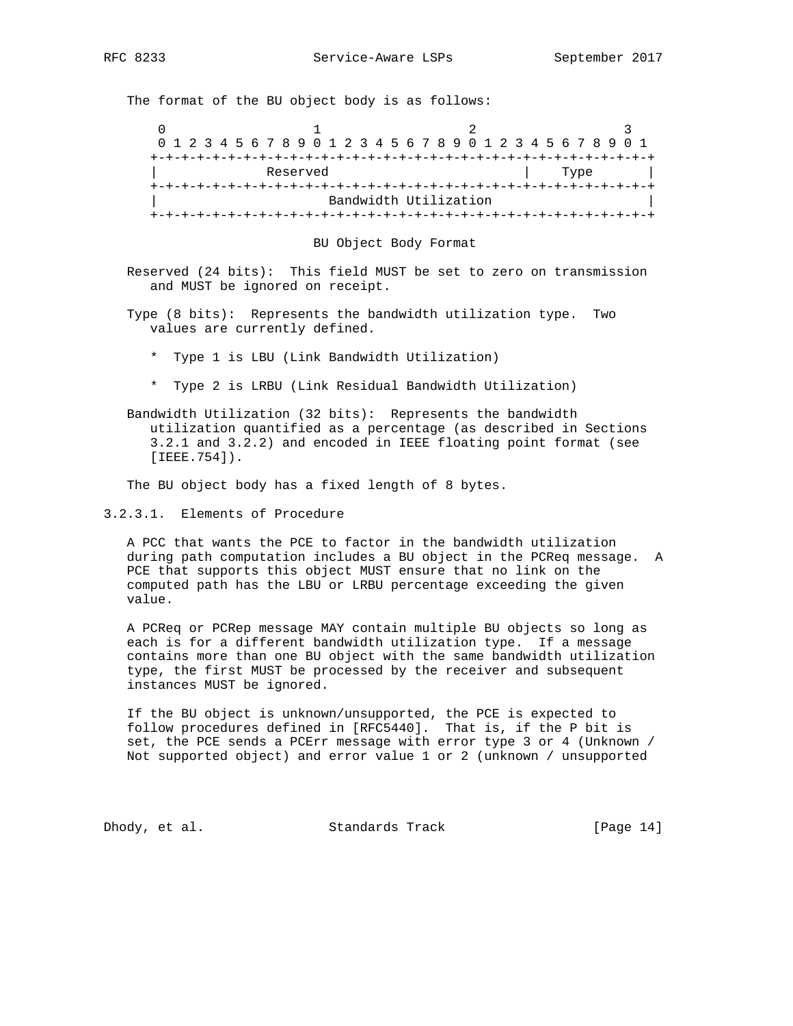The format of the BU object body is as follows:

0  $1$  2 3 0 1 2 3 4 5 6 7 8 9 0 1 2 3 4 5 6 7 8 9 0 1 2 3 4 5 6 7 8 9 0 1 +-+-+-+-+-+-+-+-+-+-+-+-+-+-+-+-+-+-+-+-+-+-+-+-+-+-+-+-+-+-+-+-+ Reserved France | Type | +-+-+-+-+-+-+-+-+-+-+-+-+-+-+-+-+-+-+-+-+-+-+-+-+-+-+-+-+-+-+-+-+ Bandwidth Utilization +-+-+-+-+-+-+-+-+-+-+-+-+-+-+-+-+-+-+-+-+-+-+-+-+-+-+-+-+-+-+-+-+

BU Object Body Format

 Reserved (24 bits): This field MUST be set to zero on transmission and MUST be ignored on receipt.

 Type (8 bits): Represents the bandwidth utilization type. Two values are currently defined.

- \* Type 1 is LBU (Link Bandwidth Utilization)
- \* Type 2 is LRBU (Link Residual Bandwidth Utilization)

 Bandwidth Utilization (32 bits): Represents the bandwidth utilization quantified as a percentage (as described in Sections 3.2.1 and 3.2.2) and encoded in IEEE floating point format (see [IEEE.754]).

The BU object body has a fixed length of 8 bytes.

3.2.3.1. Elements of Procedure

 A PCC that wants the PCE to factor in the bandwidth utilization during path computation includes a BU object in the PCReq message. A PCE that supports this object MUST ensure that no link on the computed path has the LBU or LRBU percentage exceeding the given value.

 A PCReq or PCRep message MAY contain multiple BU objects so long as each is for a different bandwidth utilization type. If a message contains more than one BU object with the same bandwidth utilization type, the first MUST be processed by the receiver and subsequent instances MUST be ignored.

 If the BU object is unknown/unsupported, the PCE is expected to follow procedures defined in [RFC5440]. That is, if the P bit is set, the PCE sends a PCErr message with error type 3 or 4 (Unknown / Not supported object) and error value 1 or 2 (unknown / unsupported

Dhody, et al. Standards Track [Page 14]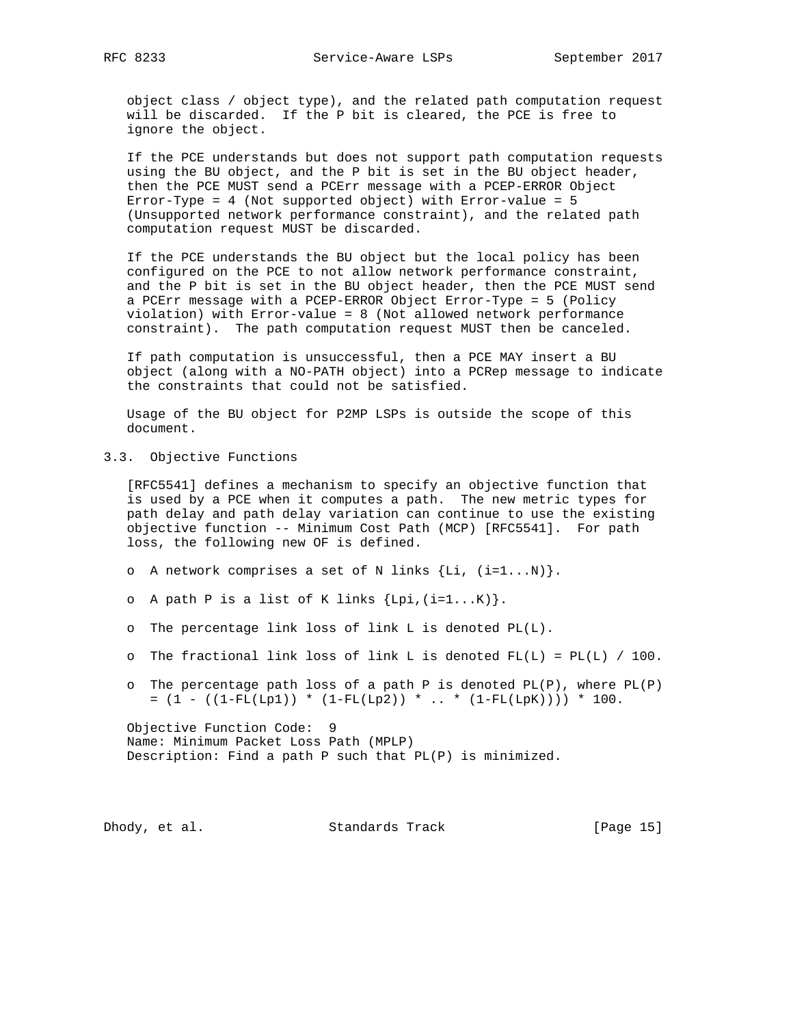object class / object type), and the related path computation request will be discarded. If the P bit is cleared, the PCE is free to ignore the object.

 If the PCE understands but does not support path computation requests using the BU object, and the P bit is set in the BU object header, then the PCE MUST send a PCErr message with a PCEP-ERROR Object Error-Type = 4 (Not supported object) with Error-value = 5 (Unsupported network performance constraint), and the related path computation request MUST be discarded.

 If the PCE understands the BU object but the local policy has been configured on the PCE to not allow network performance constraint, and the P bit is set in the BU object header, then the PCE MUST send a PCErr message with a PCEP-ERROR Object Error-Type = 5 (Policy violation) with Error-value = 8 (Not allowed network performance constraint). The path computation request MUST then be canceled.

 If path computation is unsuccessful, then a PCE MAY insert a BU object (along with a NO-PATH object) into a PCRep message to indicate the constraints that could not be satisfied.

 Usage of the BU object for P2MP LSPs is outside the scope of this document.

3.3. Objective Functions

 [RFC5541] defines a mechanism to specify an objective function that is used by a PCE when it computes a path. The new metric types for path delay and path delay variation can continue to use the existing objective function -- Minimum Cost Path (MCP) [RFC5541]. For path loss, the following new OF is defined.

- o A network comprises a set of N links  $\{Li, (i=1...N)\}.$
- o A path P is a list of K links  $\{Lpi, (i=1...K)\}.$
- o The percentage link loss of link L is denoted PL(L).
- o The fractional link loss of link L is denoted  $FL(L) = PL(L) / 100$ .
- o The percentage path loss of a path P is denoted  $PL(P)$ , where  $PL(P)$  $= (1 - ((1 - FL(Lp1)) * (1 - FL(Lp2)) * ... * (1 - FL(LpK)))) * 100.$

 Objective Function Code: 9 Name: Minimum Packet Loss Path (MPLP) Description: Find a path P such that PL(P) is minimized.

Dhody, et al. Standards Track [Page 15]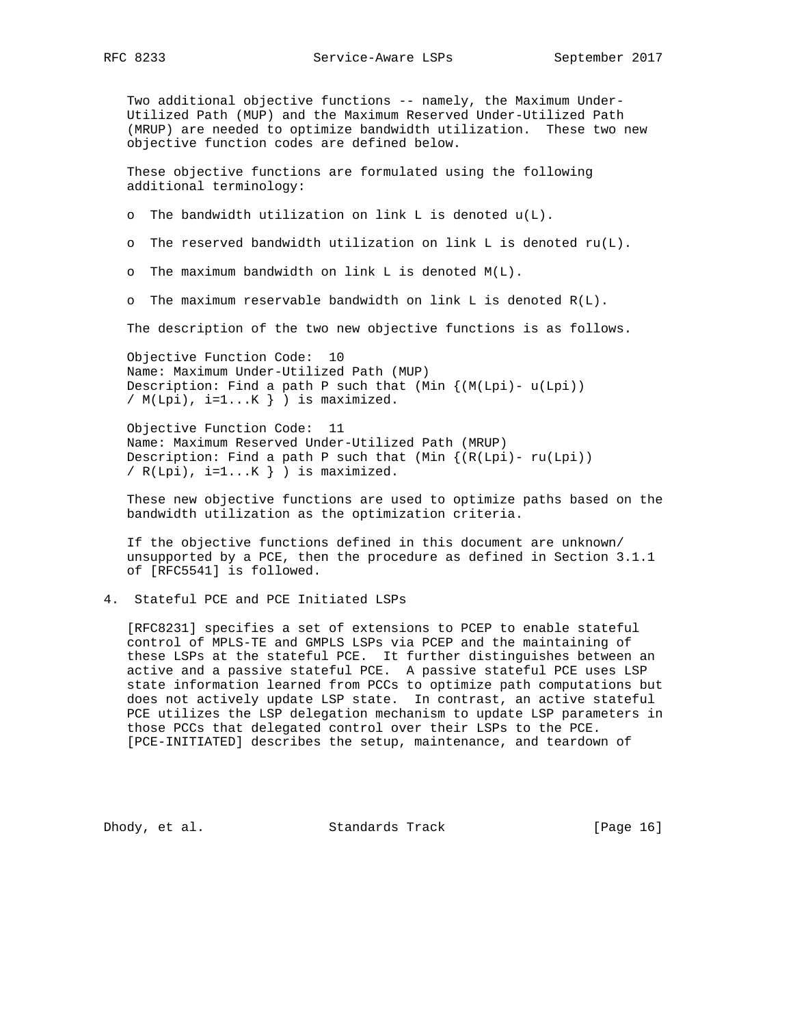Two additional objective functions -- namely, the Maximum Under- Utilized Path (MUP) and the Maximum Reserved Under-Utilized Path (MRUP) are needed to optimize bandwidth utilization. These two new objective function codes are defined below.

 These objective functions are formulated using the following additional terminology:

o The bandwidth utilization on link L is denoted u(L).

o The reserved bandwidth utilization on link L is denoted ru(L).

o The maximum bandwidth on link L is denoted M(L).

o The maximum reservable bandwidth on link L is denoted  $R(L)$ .

The description of the two new objective functions is as follows.

 Objective Function Code: 10 Name: Maximum Under-Utilized Path (MUP) Description: Find a path P such that (Min  $\{(M(Lpi)-U(Lpi))\}$ /  $M(Lpi)$ , i=1... $K$  ) is maximized.

 Objective Function Code: 11 Name: Maximum Reserved Under-Utilized Path (MRUP) Description: Find a path P such that  $(Min \{(R(Lpi)) - ru(Lpi))$ /  $R(Lpi)$ ,  $i=1...K$  ) is maximized.

 These new objective functions are used to optimize paths based on the bandwidth utilization as the optimization criteria.

 If the objective functions defined in this document are unknown/ unsupported by a PCE, then the procedure as defined in Section 3.1.1 of [RFC5541] is followed.

#### 4. Stateful PCE and PCE Initiated LSPs

 [RFC8231] specifies a set of extensions to PCEP to enable stateful control of MPLS-TE and GMPLS LSPs via PCEP and the maintaining of these LSPs at the stateful PCE. It further distinguishes between an active and a passive stateful PCE. A passive stateful PCE uses LSP state information learned from PCCs to optimize path computations but does not actively update LSP state. In contrast, an active stateful PCE utilizes the LSP delegation mechanism to update LSP parameters in those PCCs that delegated control over their LSPs to the PCE. [PCE-INITIATED] describes the setup, maintenance, and teardown of

Dhody, et al. Standards Track [Page 16]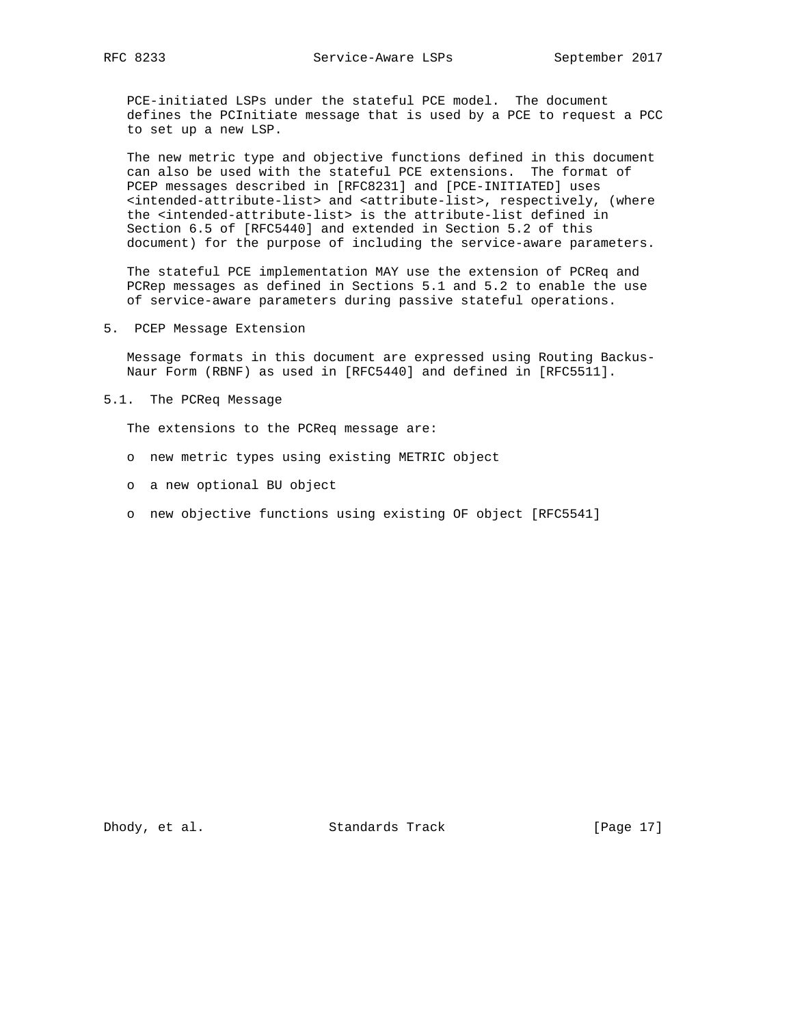PCE-initiated LSPs under the stateful PCE model. The document defines the PCInitiate message that is used by a PCE to request a PCC to set up a new LSP.

 The new metric type and objective functions defined in this document can also be used with the stateful PCE extensions. The format of PCEP messages described in [RFC8231] and [PCE-INITIATED] uses <intended-attribute-list> and <attribute-list>, respectively, (where the <intended-attribute-list> is the attribute-list defined in Section 6.5 of [RFC5440] and extended in Section 5.2 of this document) for the purpose of including the service-aware parameters.

 The stateful PCE implementation MAY use the extension of PCReq and PCRep messages as defined in Sections 5.1 and 5.2 to enable the use of service-aware parameters during passive stateful operations.

5. PCEP Message Extension

 Message formats in this document are expressed using Routing Backus- Naur Form (RBNF) as used in [RFC5440] and defined in [RFC5511].

5.1. The PCReq Message

The extensions to the PCReq message are:

- o new metric types using existing METRIC object
- o a new optional BU object
- o new objective functions using existing OF object [RFC5541]

Dhody, et al. Standards Track [Page 17]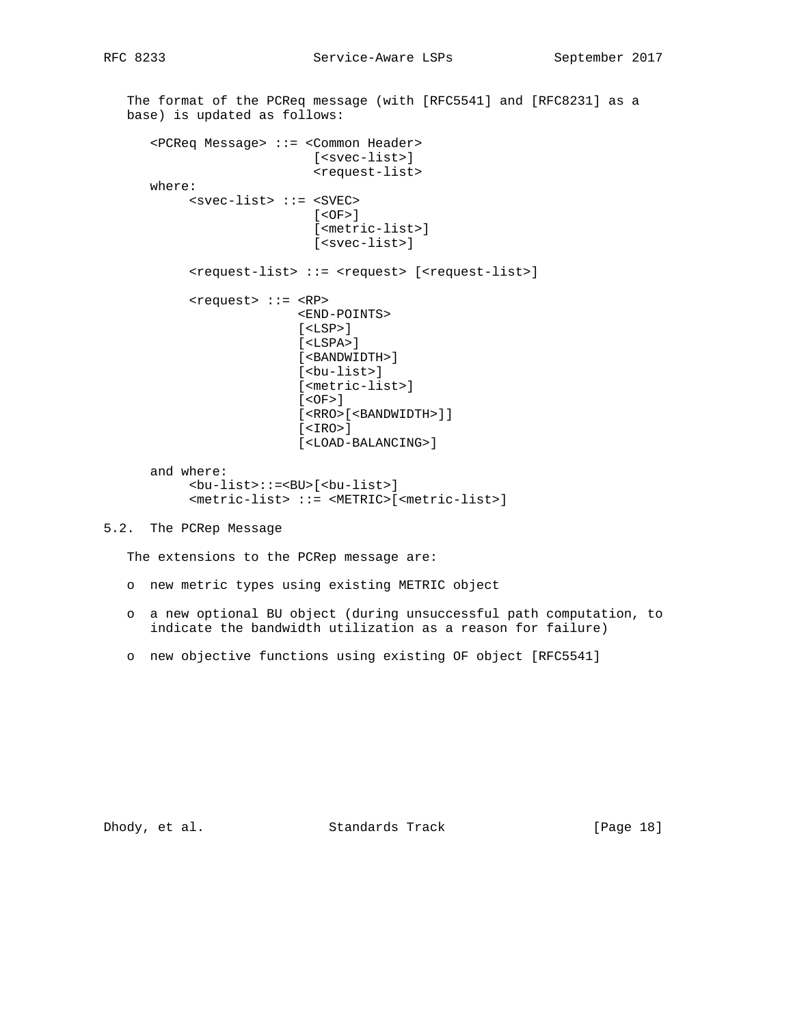The format of the PCReq message (with [RFC5541] and [RFC8231] as a base) is updated as follows: <PCReq Message> ::= <Common Header> [<svec-list>] <request-list> where: <svec-list> ::= <SVEC>  $[<$ OF> $]$  [<metric-list>] [<svec-list>] <request-list> ::= <request> [<request-list>] <request> ::= <RP> <END-POINTS> [<LSP>] [<LSPA>] [<BANDWIDTH>] [<bu-list>] [<metric-list>]  $[ <\overline{OF} > ]$  [<RRO>[<BANDWIDTH>]] [<IRO>] [<LOAD-BALANCING>] and where: <bu-list>::=<BU>[<bu-list>] <metric-list> ::= <METRIC>[<metric-list>] 5.2. The PCRep Message The extensions to the PCRep message are: o new metric types using existing METRIC object

- o a new optional BU object (during unsuccessful path computation, to indicate the bandwidth utilization as a reason for failure)
- o new objective functions using existing OF object [RFC5541]

Dhody, et al. Standards Track [Page 18]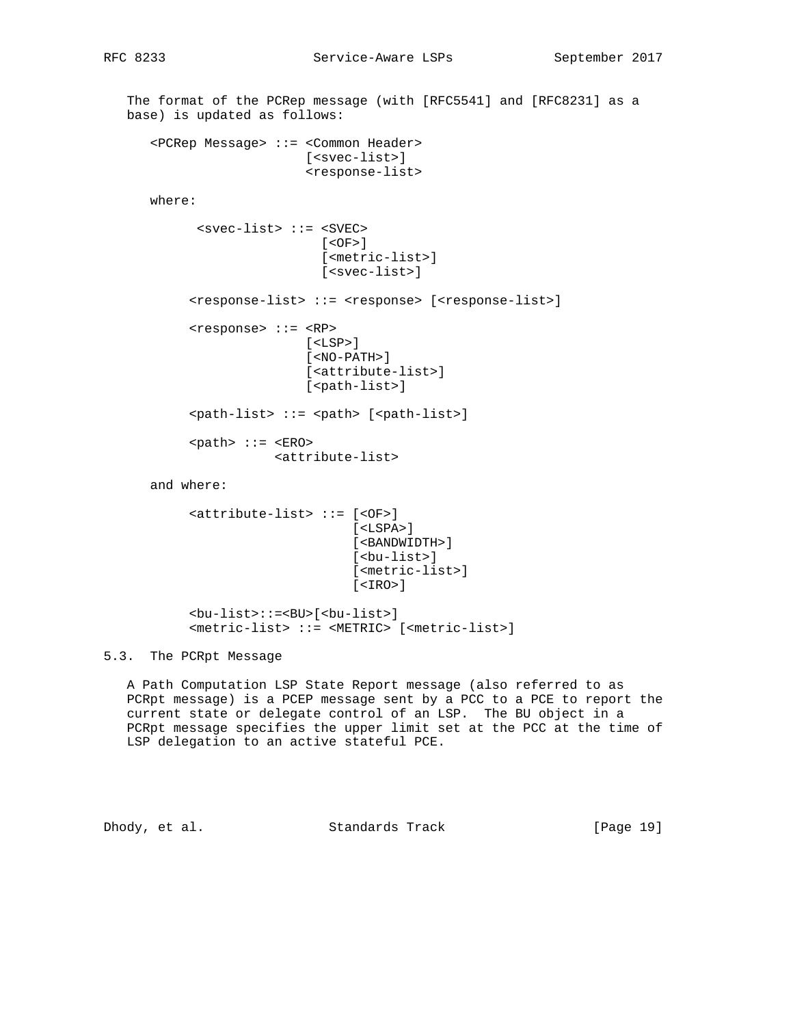The format of the PCRep message (with [RFC5541] and [RFC8231] as a base) is updated as follows: <PCRep Message> ::= <Common Header> [<svec-list>] <response-list> where: <svec-list> ::= <SVEC> [<OF>] [<metric-list>] [<svec-list>] <response-list> ::= <response> [<response-list>] <response> ::= <RP>  $[$  <LSP> $]$  [<NO-PATH>] [<attribute-list>] [<path-list>] <path-list> ::= <path> [<path-list>] <path> ::= <ERO> <attribute-list> and where: <attribute-list> ::= [<OF>] [<LSPA>] [<BANDWIDTH>] [<bu-list>] [<metric-list>] [<IRO>] <bu-list>::=<BU>[<bu-list>] <metric-list> ::= <METRIC> [<metric-list>]

5.3. The PCRpt Message

 A Path Computation LSP State Report message (also referred to as PCRpt message) is a PCEP message sent by a PCC to a PCE to report the current state or delegate control of an LSP. The BU object in a PCRpt message specifies the upper limit set at the PCC at the time of LSP delegation to an active stateful PCE.

Dhody, et al. Standards Track [Page 19]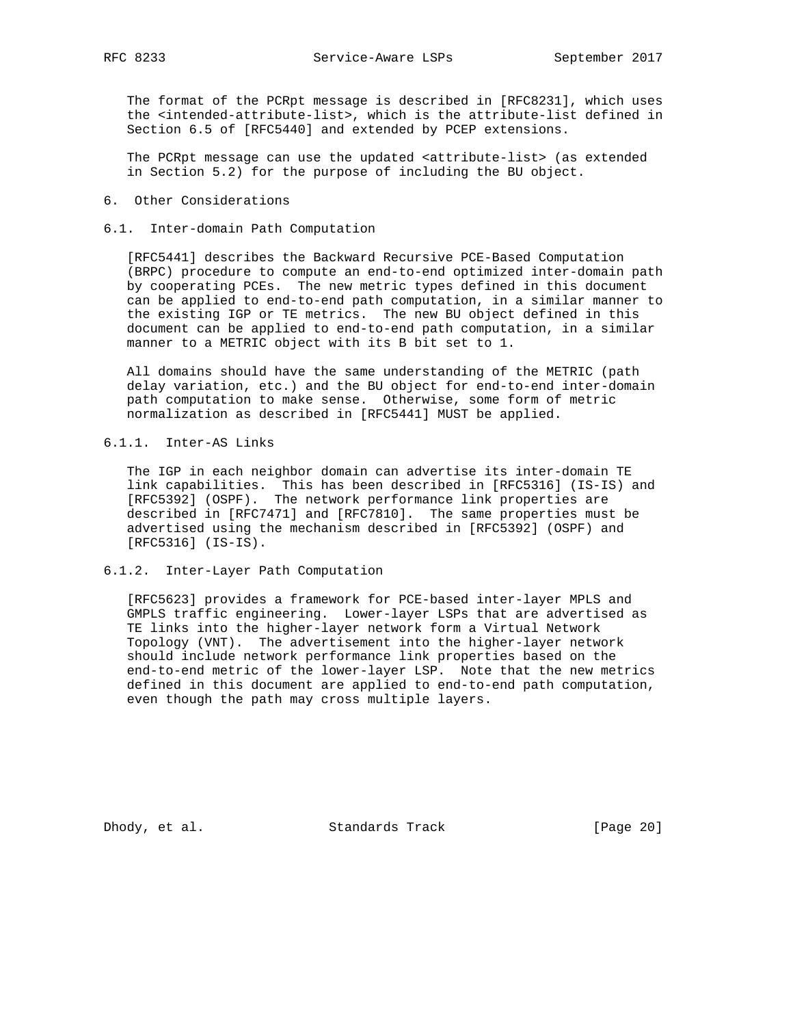The format of the PCRpt message is described in [RFC8231], which uses the <intended-attribute-list>, which is the attribute-list defined in Section 6.5 of [RFC5440] and extended by PCEP extensions.

 The PCRpt message can use the updated <attribute-list> (as extended in Section 5.2) for the purpose of including the BU object.

- 6. Other Considerations
- 6.1. Inter-domain Path Computation

 [RFC5441] describes the Backward Recursive PCE-Based Computation (BRPC) procedure to compute an end-to-end optimized inter-domain path by cooperating PCEs. The new metric types defined in this document can be applied to end-to-end path computation, in a similar manner to the existing IGP or TE metrics. The new BU object defined in this document can be applied to end-to-end path computation, in a similar manner to a METRIC object with its B bit set to 1.

 All domains should have the same understanding of the METRIC (path delay variation, etc.) and the BU object for end-to-end inter-domain path computation to make sense. Otherwise, some form of metric normalization as described in [RFC5441] MUST be applied.

6.1.1. Inter-AS Links

 The IGP in each neighbor domain can advertise its inter-domain TE link capabilities. This has been described in [RFC5316] (IS-IS) and [RFC5392] (OSPF). The network performance link properties are described in [RFC7471] and [RFC7810]. The same properties must be advertised using the mechanism described in [RFC5392] (OSPF) and [RFC5316] (IS-IS).

6.1.2. Inter-Layer Path Computation

 [RFC5623] provides a framework for PCE-based inter-layer MPLS and GMPLS traffic engineering. Lower-layer LSPs that are advertised as TE links into the higher-layer network form a Virtual Network Topology (VNT). The advertisement into the higher-layer network should include network performance link properties based on the end-to-end metric of the lower-layer LSP. Note that the new metrics defined in this document are applied to end-to-end path computation, even though the path may cross multiple layers.

Dhody, et al. Standards Track [Page 20]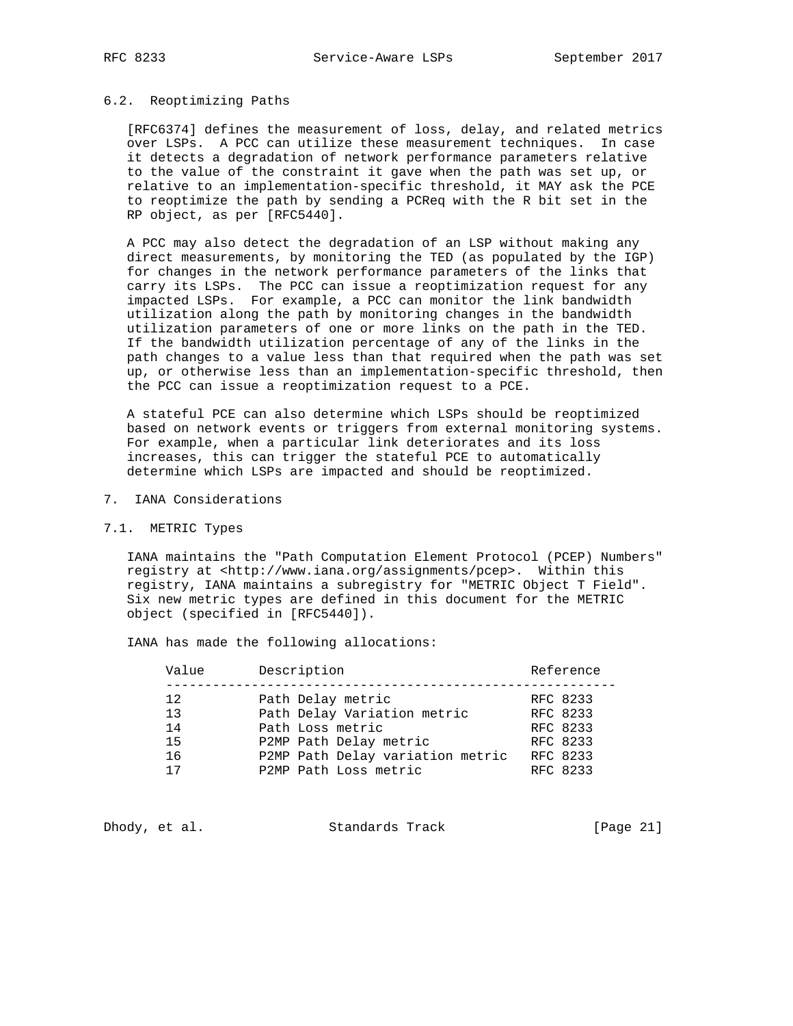#### 6.2. Reoptimizing Paths

 [RFC6374] defines the measurement of loss, delay, and related metrics over LSPs. A PCC can utilize these measurement techniques. In case it detects a degradation of network performance parameters relative to the value of the constraint it gave when the path was set up, or relative to an implementation-specific threshold, it MAY ask the PCE to reoptimize the path by sending a PCReq with the R bit set in the RP object, as per [RFC5440].

 A PCC may also detect the degradation of an LSP without making any direct measurements, by monitoring the TED (as populated by the IGP) for changes in the network performance parameters of the links that carry its LSPs. The PCC can issue a reoptimization request for any impacted LSPs. For example, a PCC can monitor the link bandwidth utilization along the path by monitoring changes in the bandwidth utilization parameters of one or more links on the path in the TED. If the bandwidth utilization percentage of any of the links in the path changes to a value less than that required when the path was set up, or otherwise less than an implementation-specific threshold, then the PCC can issue a reoptimization request to a PCE.

 A stateful PCE can also determine which LSPs should be reoptimized based on network events or triggers from external monitoring systems. For example, when a particular link deteriorates and its loss increases, this can trigger the stateful PCE to automatically determine which LSPs are impacted and should be reoptimized.

7. IANA Considerations

#### 7.1. METRIC Types

 IANA maintains the "Path Computation Element Protocol (PCEP) Numbers" registry at <http://www.iana.org/assignments/pcep>. Within this registry, IANA maintains a subregistry for "METRIC Object T Field". Six new metric types are defined in this document for the METRIC object (specified in [RFC5440]).

IANA has made the following allocations:

| Value | Description                      | Reference |
|-------|----------------------------------|-----------|
| 12.   | Path Delay metric                | RFC 8233  |
| 13    | Path Delay Variation metric      | RFC 8233  |
| 14    | Path Loss metric                 | RFC 8233  |
| 15    | P2MP Path Delay metric           | RFC 8233  |
| 16    | P2MP Path Delay variation metric | RFC 8233  |
| 17    | P2MP Path Loss metric            | RFC 8233  |

Dhody, et al. Standards Track [Page 21]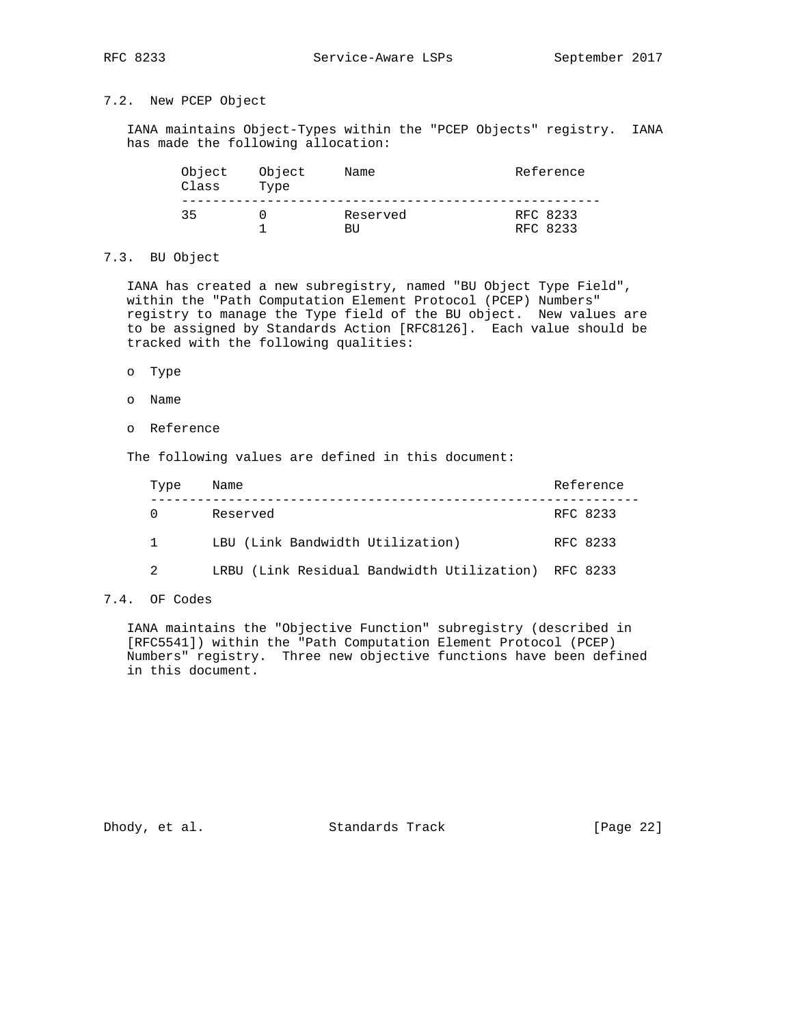# 7.2. New PCEP Object

 IANA maintains Object-Types within the "PCEP Objects" registry. IANA has made the following allocation:

| Object<br>Class | Object<br>Type | Name           | Reference            |
|-----------------|----------------|----------------|----------------------|
| 35              |                | Reserved<br>RH | RFC 8233<br>RFC 8233 |

## 7.3. BU Object

 IANA has created a new subregistry, named "BU Object Type Field", within the "Path Computation Element Protocol (PCEP) Numbers" registry to manage the Type field of the BU object. New values are to be assigned by Standards Action [RFC8126]. Each value should be tracked with the following qualities:

- o Type
- o Name
- o Reference

The following values are defined in this document:

| Type         | Name                                       | Reference |
|--------------|--------------------------------------------|-----------|
|              | Reserved                                   | RFC 8233  |
| $\mathbf{1}$ | LBU (Link Bandwidth Utilization)           | RFC 8233  |
| 2            | LRBU (Link Residual Bandwidth Utilization) | RFC 8233  |

### 7.4. OF Codes

 IANA maintains the "Objective Function" subregistry (described in [RFC5541]) within the "Path Computation Element Protocol (PCEP) Numbers" registry. Three new objective functions have been defined in this document.

Dhody, et al. Standards Track [Page 22]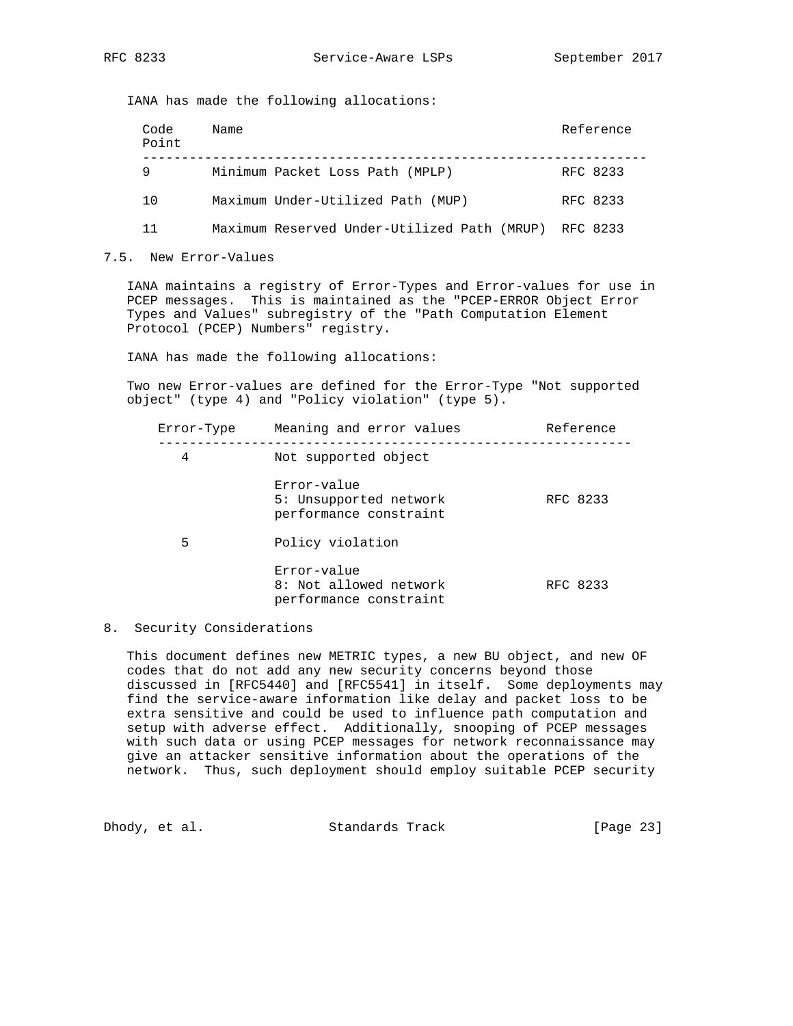IANA has made the following allocations:

| Code<br>Point | Name                                        | Reference |
|---------------|---------------------------------------------|-----------|
| 9             | Minimum Packet Loss Path (MPLP)             | RFC 8233  |
| 10            | Maximum Under-Utilized Path (MUP)           | RFC 8233  |
| 11            | Maximum Reserved Under-Utilized Path (MRUP) | RFC 8233  |

7.5. New Error-Values

 IANA maintains a registry of Error-Types and Error-values for use in PCEP messages. This is maintained as the "PCEP-ERROR Object Error Types and Values" subregistry of the "Path Computation Element Protocol (PCEP) Numbers" registry.

IANA has made the following allocations:

 Two new Error-values are defined for the Error-Type "Not supported object" (type 4) and "Policy violation" (type 5).

| Error-Type | Meaning and error values                                        | Reference |
|------------|-----------------------------------------------------------------|-----------|
| 4          | Not supported object                                            |           |
|            | Error-value<br>5: Unsupported network<br>performance constraint | RFC 8233  |
| 5          | Policy violation                                                |           |
|            | Error-value<br>8: Not allowed network<br>performance constraint | RFC 8233  |

8. Security Considerations

 This document defines new METRIC types, a new BU object, and new OF codes that do not add any new security concerns beyond those discussed in [RFC5440] and [RFC5541] in itself. Some deployments may find the service-aware information like delay and packet loss to be extra sensitive and could be used to influence path computation and setup with adverse effect. Additionally, snooping of PCEP messages with such data or using PCEP messages for network reconnaissance may give an attacker sensitive information about the operations of the network. Thus, such deployment should employ suitable PCEP security

Dhody, et al. Standards Track [Page 23]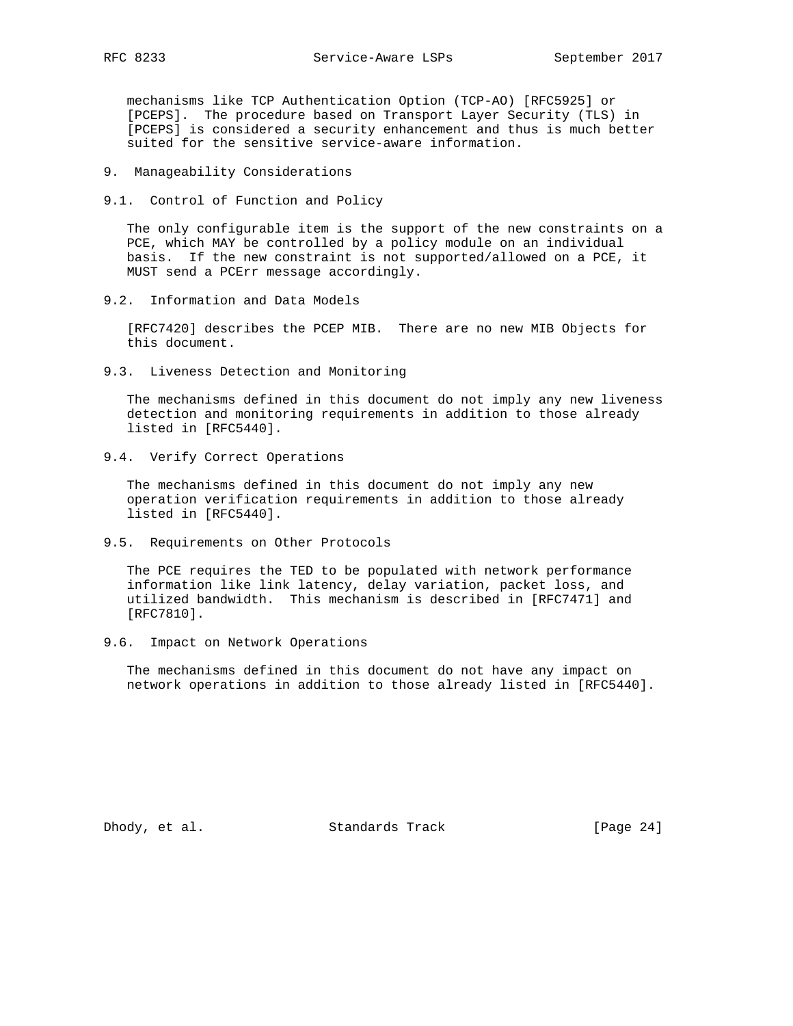mechanisms like TCP Authentication Option (TCP-AO) [RFC5925] or [PCEPS]. The procedure based on Transport Layer Security (TLS) in [PCEPS] is considered a security enhancement and thus is much better suited for the sensitive service-aware information.

- 9. Manageability Considerations
- 9.1. Control of Function and Policy

 The only configurable item is the support of the new constraints on a PCE, which MAY be controlled by a policy module on an individual basis. If the new constraint is not supported/allowed on a PCE, it MUST send a PCErr message accordingly.

9.2. Information and Data Models

 [RFC7420] describes the PCEP MIB. There are no new MIB Objects for this document.

9.3. Liveness Detection and Monitoring

 The mechanisms defined in this document do not imply any new liveness detection and monitoring requirements in addition to those already listed in [RFC5440].

9.4. Verify Correct Operations

 The mechanisms defined in this document do not imply any new operation verification requirements in addition to those already listed in [RFC5440].

9.5. Requirements on Other Protocols

 The PCE requires the TED to be populated with network performance information like link latency, delay variation, packet loss, and utilized bandwidth. This mechanism is described in [RFC7471] and [RFC7810].

9.6. Impact on Network Operations

 The mechanisms defined in this document do not have any impact on network operations in addition to those already listed in [RFC5440].

Dhody, et al. Standards Track [Page 24]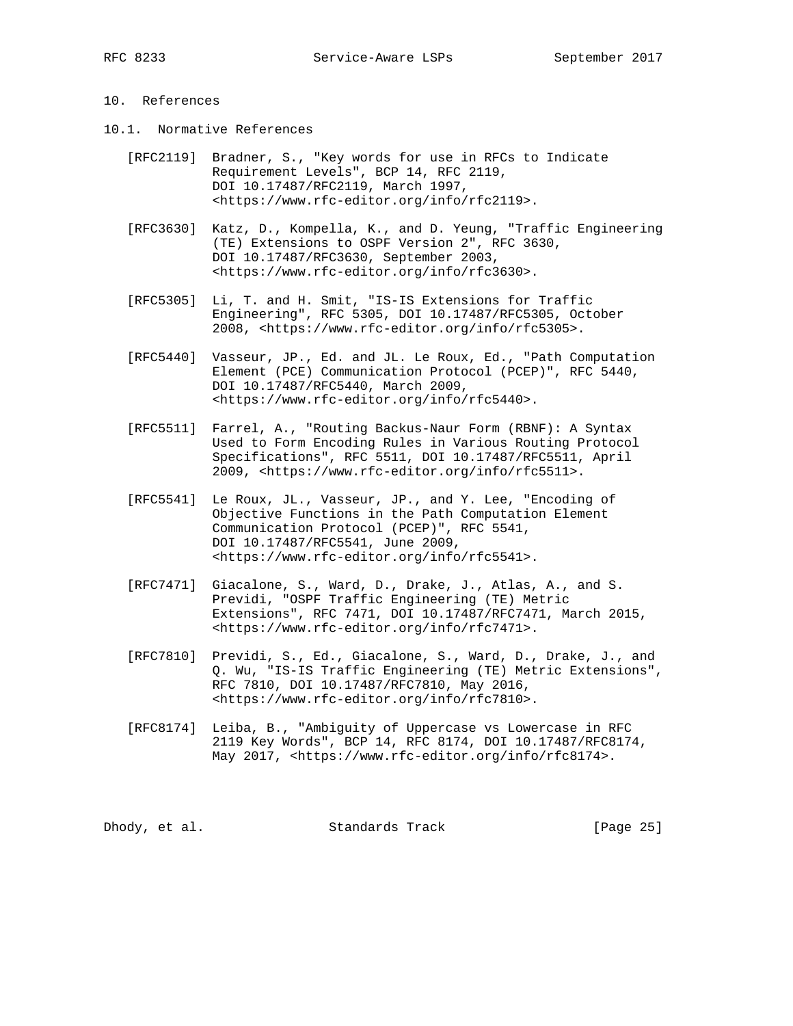# 10. References

- 10.1. Normative References
	- [RFC2119] Bradner, S., "Key words for use in RFCs to Indicate Requirement Levels", BCP 14, RFC 2119, DOI 10.17487/RFC2119, March 1997, <https://www.rfc-editor.org/info/rfc2119>.
	- [RFC3630] Katz, D., Kompella, K., and D. Yeung, "Traffic Engineering (TE) Extensions to OSPF Version 2", RFC 3630, DOI 10.17487/RFC3630, September 2003, <https://www.rfc-editor.org/info/rfc3630>.
	- [RFC5305] Li, T. and H. Smit, "IS-IS Extensions for Traffic Engineering", RFC 5305, DOI 10.17487/RFC5305, October 2008, <https://www.rfc-editor.org/info/rfc5305>.
	- [RFC5440] Vasseur, JP., Ed. and JL. Le Roux, Ed., "Path Computation Element (PCE) Communication Protocol (PCEP)", RFC 5440, DOI 10.17487/RFC5440, March 2009, <https://www.rfc-editor.org/info/rfc5440>.
	- [RFC5511] Farrel, A., "Routing Backus-Naur Form (RBNF): A Syntax Used to Form Encoding Rules in Various Routing Protocol Specifications", RFC 5511, DOI 10.17487/RFC5511, April 2009, <https://www.rfc-editor.org/info/rfc5511>.
	- [RFC5541] Le Roux, JL., Vasseur, JP., and Y. Lee, "Encoding of Objective Functions in the Path Computation Element Communication Protocol (PCEP)", RFC 5541, DOI 10.17487/RFC5541, June 2009, <https://www.rfc-editor.org/info/rfc5541>.
	- [RFC7471] Giacalone, S., Ward, D., Drake, J., Atlas, A., and S. Previdi, "OSPF Traffic Engineering (TE) Metric Extensions", RFC 7471, DOI 10.17487/RFC7471, March 2015, <https://www.rfc-editor.org/info/rfc7471>.
	- [RFC7810] Previdi, S., Ed., Giacalone, S., Ward, D., Drake, J., and Q. Wu, "IS-IS Traffic Engineering (TE) Metric Extensions", RFC 7810, DOI 10.17487/RFC7810, May 2016, <https://www.rfc-editor.org/info/rfc7810>.
	- [RFC8174] Leiba, B., "Ambiguity of Uppercase vs Lowercase in RFC 2119 Key Words", BCP 14, RFC 8174, DOI 10.17487/RFC8174, May 2017, <https://www.rfc-editor.org/info/rfc8174>.

Dhody, et al. Standards Track [Page 25]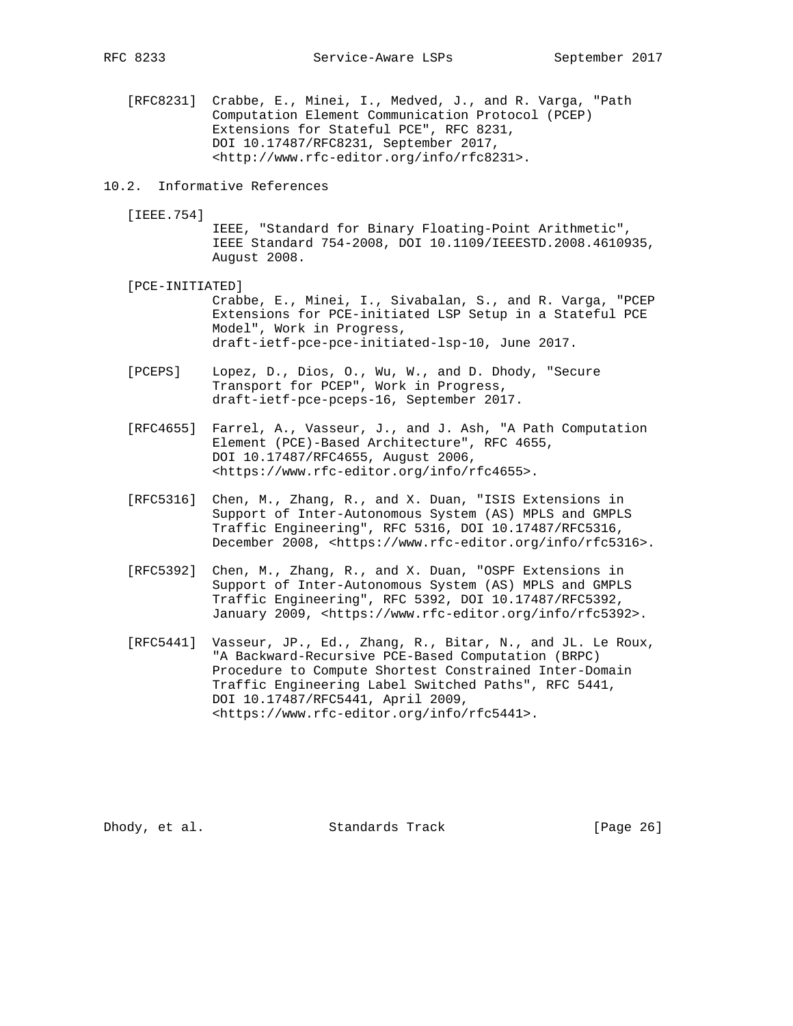[RFC8231] Crabbe, E., Minei, I., Medved, J., and R. Varga, "Path Computation Element Communication Protocol (PCEP) Extensions for Stateful PCE", RFC 8231, DOI 10.17487/RFC8231, September 2017, <http://www.rfc-editor.org/info/rfc8231>.

#### 10.2. Informative References

[IEEE.754]

 IEEE, "Standard for Binary Floating-Point Arithmetic", IEEE Standard 754-2008, DOI 10.1109/IEEESTD.2008.4610935, August 2008.

- [PCE-INITIATED] Crabbe, E., Minei, I., Sivabalan, S., and R. Varga, "PCEP Extensions for PCE-initiated LSP Setup in a Stateful PCE Model", Work in Progress, draft-ietf-pce-pce-initiated-lsp-10, June 2017.
- [PCEPS] Lopez, D., Dios, O., Wu, W., and D. Dhody, "Secure Transport for PCEP", Work in Progress, draft-ietf-pce-pceps-16, September 2017.
- [RFC4655] Farrel, A., Vasseur, J., and J. Ash, "A Path Computation Element (PCE)-Based Architecture", RFC 4655, DOI 10.17487/RFC4655, August 2006, <https://www.rfc-editor.org/info/rfc4655>.
- [RFC5316] Chen, M., Zhang, R., and X. Duan, "ISIS Extensions in Support of Inter-Autonomous System (AS) MPLS and GMPLS Traffic Engineering", RFC 5316, DOI 10.17487/RFC5316, December 2008, <https://www.rfc-editor.org/info/rfc5316>.
- [RFC5392] Chen, M., Zhang, R., and X. Duan, "OSPF Extensions in Support of Inter-Autonomous System (AS) MPLS and GMPLS Traffic Engineering", RFC 5392, DOI 10.17487/RFC5392, January 2009, <https://www.rfc-editor.org/info/rfc5392>.
- [RFC5441] Vasseur, JP., Ed., Zhang, R., Bitar, N., and JL. Le Roux, "A Backward-Recursive PCE-Based Computation (BRPC) Procedure to Compute Shortest Constrained Inter-Domain Traffic Engineering Label Switched Paths", RFC 5441, DOI 10.17487/RFC5441, April 2009, <https://www.rfc-editor.org/info/rfc5441>.

Dhody, et al. Standards Track [Page 26]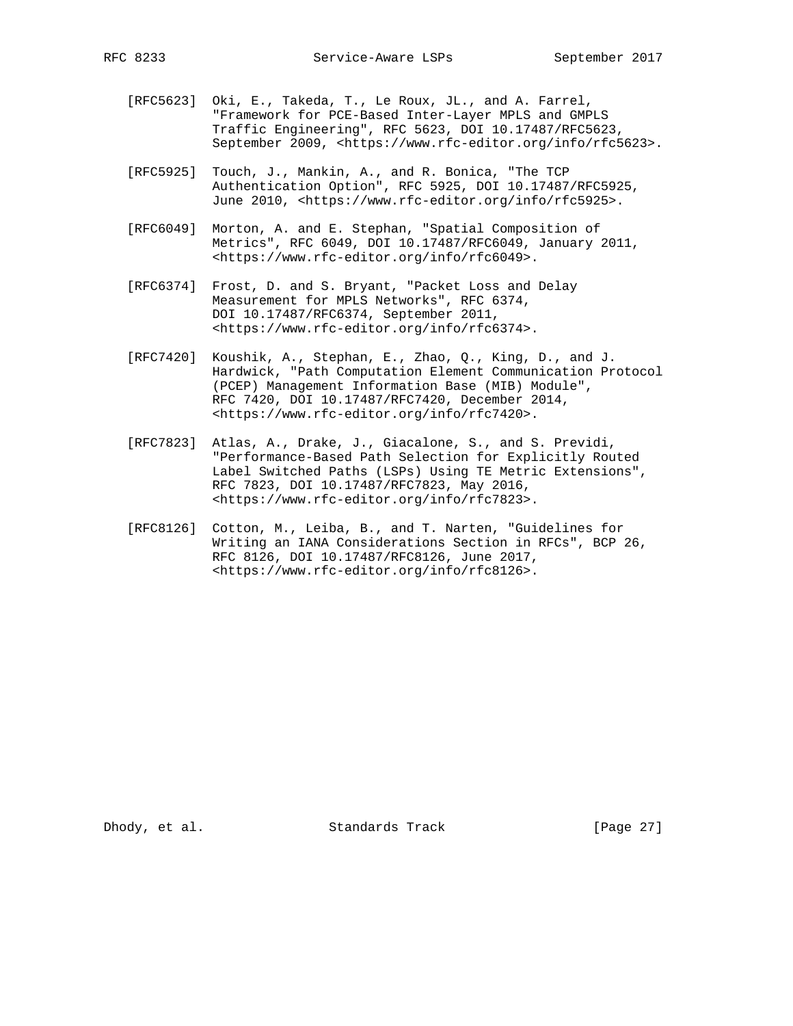- [RFC5623] Oki, E., Takeda, T., Le Roux, JL., and A. Farrel, "Framework for PCE-Based Inter-Layer MPLS and GMPLS Traffic Engineering", RFC 5623, DOI 10.17487/RFC5623,
- [RFC5925] Touch, J., Mankin, A., and R. Bonica, "The TCP Authentication Option", RFC 5925, DOI 10.17487/RFC5925, June 2010, <https://www.rfc-editor.org/info/rfc5925>.

September 2009, <https://www.rfc-editor.org/info/rfc5623>.

- [RFC6049] Morton, A. and E. Stephan, "Spatial Composition of Metrics", RFC 6049, DOI 10.17487/RFC6049, January 2011, <https://www.rfc-editor.org/info/rfc6049>.
- [RFC6374] Frost, D. and S. Bryant, "Packet Loss and Delay Measurement for MPLS Networks", RFC 6374, DOI 10.17487/RFC6374, September 2011, <https://www.rfc-editor.org/info/rfc6374>.
- [RFC7420] Koushik, A., Stephan, E., Zhao, Q., King, D., and J. Hardwick, "Path Computation Element Communication Protocol (PCEP) Management Information Base (MIB) Module", RFC 7420, DOI 10.17487/RFC7420, December 2014, <https://www.rfc-editor.org/info/rfc7420>.
- [RFC7823] Atlas, A., Drake, J., Giacalone, S., and S. Previdi, "Performance-Based Path Selection for Explicitly Routed Label Switched Paths (LSPs) Using TE Metric Extensions", RFC 7823, DOI 10.17487/RFC7823, May 2016, <https://www.rfc-editor.org/info/rfc7823>.
- [RFC8126] Cotton, M., Leiba, B., and T. Narten, "Guidelines for Writing an IANA Considerations Section in RFCs", BCP 26, RFC 8126, DOI 10.17487/RFC8126, June 2017, <https://www.rfc-editor.org/info/rfc8126>.

Dhody, et al. Standards Track [Page 27]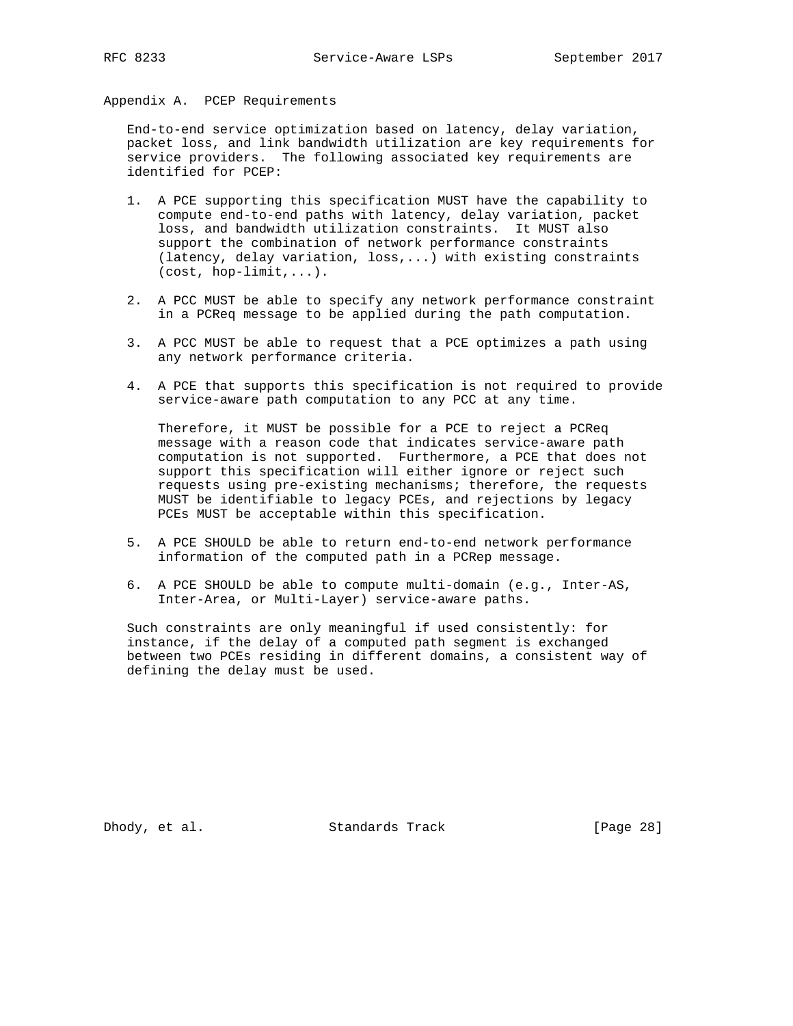Appendix A. PCEP Requirements

 End-to-end service optimization based on latency, delay variation, packet loss, and link bandwidth utilization are key requirements for service providers. The following associated key requirements are identified for PCEP:

- 1. A PCE supporting this specification MUST have the capability to compute end-to-end paths with latency, delay variation, packet loss, and bandwidth utilization constraints. It MUST also support the combination of network performance constraints (latency, delay variation, loss,...) with existing constraints (cost, hop-limit,...).
- 2. A PCC MUST be able to specify any network performance constraint in a PCReq message to be applied during the path computation.
- 3. A PCC MUST be able to request that a PCE optimizes a path using any network performance criteria.
- 4. A PCE that supports this specification is not required to provide service-aware path computation to any PCC at any time.

 Therefore, it MUST be possible for a PCE to reject a PCReq message with a reason code that indicates service-aware path computation is not supported. Furthermore, a PCE that does not support this specification will either ignore or reject such requests using pre-existing mechanisms; therefore, the requests MUST be identifiable to legacy PCEs, and rejections by legacy PCEs MUST be acceptable within this specification.

- 5. A PCE SHOULD be able to return end-to-end network performance information of the computed path in a PCRep message.
- 6. A PCE SHOULD be able to compute multi-domain (e.g., Inter-AS, Inter-Area, or Multi-Layer) service-aware paths.

 Such constraints are only meaningful if used consistently: for instance, if the delay of a computed path segment is exchanged between two PCEs residing in different domains, a consistent way of defining the delay must be used.

Dhody, et al. Standards Track [Page 28]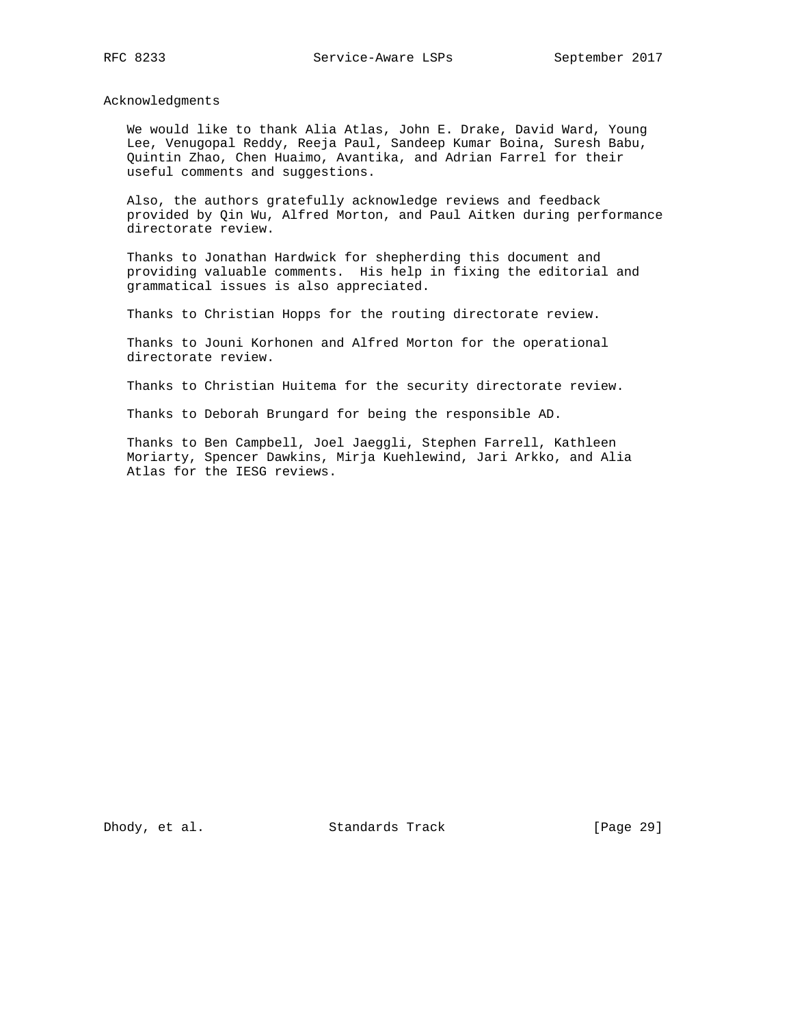Acknowledgments

 We would like to thank Alia Atlas, John E. Drake, David Ward, Young Lee, Venugopal Reddy, Reeja Paul, Sandeep Kumar Boina, Suresh Babu, Quintin Zhao, Chen Huaimo, Avantika, and Adrian Farrel for their useful comments and suggestions.

 Also, the authors gratefully acknowledge reviews and feedback provided by Qin Wu, Alfred Morton, and Paul Aitken during performance directorate review.

 Thanks to Jonathan Hardwick for shepherding this document and providing valuable comments. His help in fixing the editorial and grammatical issues is also appreciated.

Thanks to Christian Hopps for the routing directorate review.

 Thanks to Jouni Korhonen and Alfred Morton for the operational directorate review.

Thanks to Christian Huitema for the security directorate review.

Thanks to Deborah Brungard for being the responsible AD.

 Thanks to Ben Campbell, Joel Jaeggli, Stephen Farrell, Kathleen Moriarty, Spencer Dawkins, Mirja Kuehlewind, Jari Arkko, and Alia Atlas for the IESG reviews.

Dhody, et al. Standards Track [Page 29]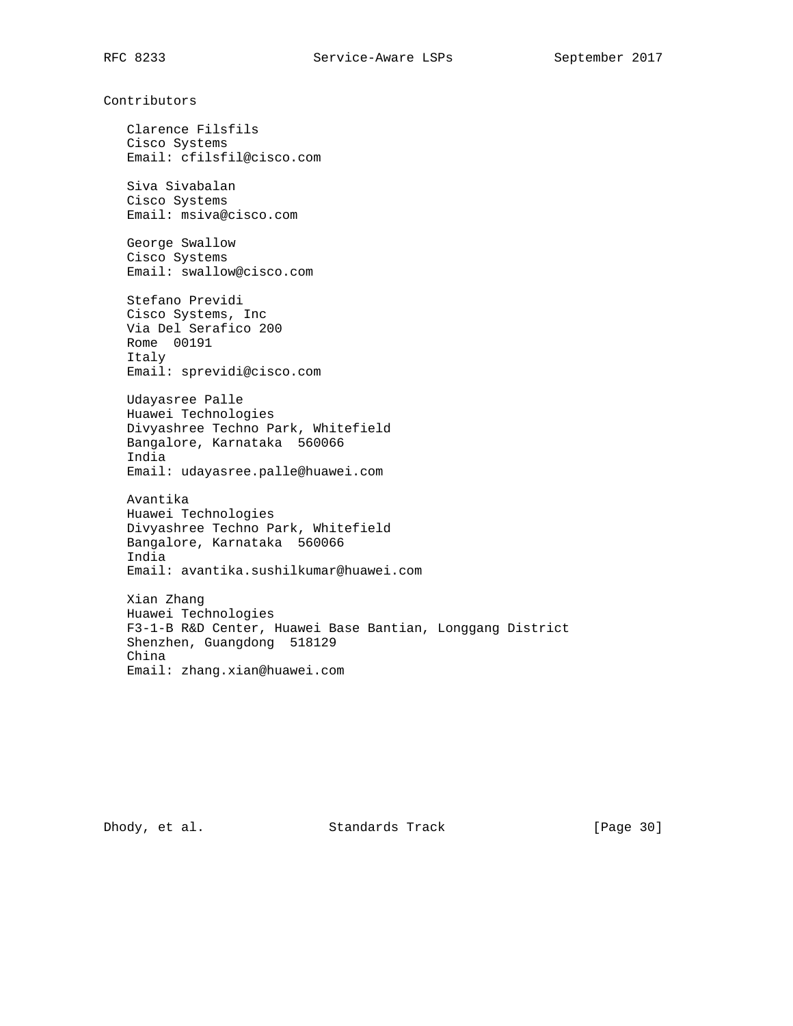Contributors

 Clarence Filsfils Cisco Systems Email: cfilsfil@cisco.com

 Siva Sivabalan Cisco Systems Email: msiva@cisco.com

 George Swallow Cisco Systems Email: swallow@cisco.com

 Stefano Previdi Cisco Systems, Inc Via Del Serafico 200 Rome 00191 Italy Email: sprevidi@cisco.com

 Udayasree Palle Huawei Technologies Divyashree Techno Park, Whitefield Bangalore, Karnataka 560066 India Email: udayasree.palle@huawei.com

 Avantika Huawei Technologies Divyashree Techno Park, Whitefield Bangalore, Karnataka 560066 India Email: avantika.sushilkumar@huawei.com

 Xian Zhang Huawei Technologies F3-1-B R&D Center, Huawei Base Bantian, Longgang District Shenzhen, Guangdong 518129 China Email: zhang.xian@huawei.com

Dhody, et al. Standards Track [Page 30]